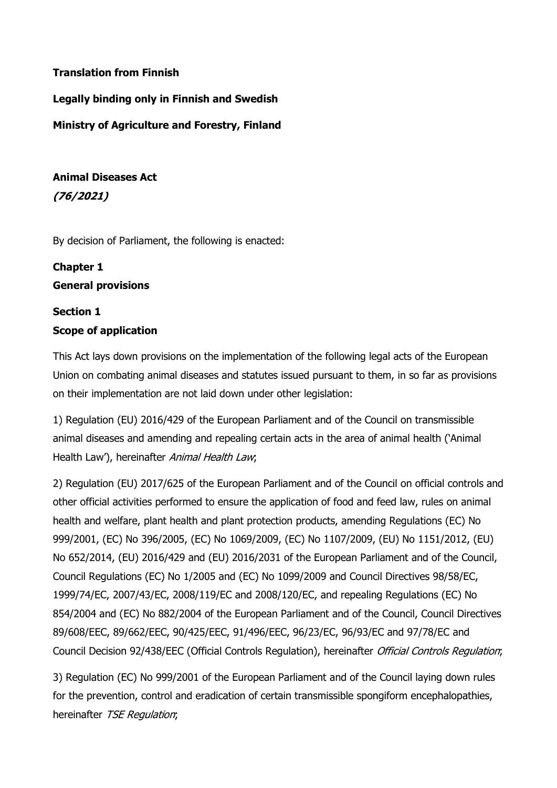# Translation from Finnish

Legally binding only in Finnish and Swedish

Ministry of Agriculture and Forestry, Finland

Animal Diseases Act (76/2021)

By decision of Parliament, the following is enacted:

# Chapter 1 General provisions

# Section 1 Scope of application

This Act lays down provisions on the implementation of the following legal acts of the European Union on combating animal diseases and statutes issued pursuant to them, in so far as provisions on their implementation are not laid down under other legislation:

1) Regulation (EU) 2016/429 of the European Parliament and of the Council on transmissible animal diseases and amending and repealing certain acts in the area of animal health ('Animal Health Law'), hereinafter Animal Health Law;

2) Regulation (EU) 2017/625 of the European Parliament and of the Council on official controls and other official activities performed to ensure the application of food and feed law, rules on animal health and welfare, plant health and plant protection products, amending Regulations (EC) No 999/2001, (EC) No 396/2005, (EC) No 1069/2009, (EC) No 1107/2009, (EU) No 1151/2012, (EU) No 652/2014, (EU) 2016/429 and (EU) 2016/2031 of the European Parliament and of the Council, Council Regulations (EC) No 1/2005 and (EC) No 1099/2009 and Council Directives 98/58/EC, 1999/74/EC, 2007/43/EC, 2008/119/EC and 2008/120/EC, and repealing Regulations (EC) No 854/2004 and (EC) No 882/2004 of the European Parliament and of the Council, Council Directives 89/608/EEC, 89/662/EEC, 90/425/EEC, 91/496/EEC, 96/23/EC, 96/93/EC and 97/78/EC and Council Decision 92/438/EEC (Official Controls Regulation), hereinafter Official Controls Regulation;

3) Regulation (EC) No 999/2001 of the European Parliament and of the Council laying down rules for the prevention, control and eradication of certain transmissible spongiform encephalopathies, hereinafter TSE Regulation;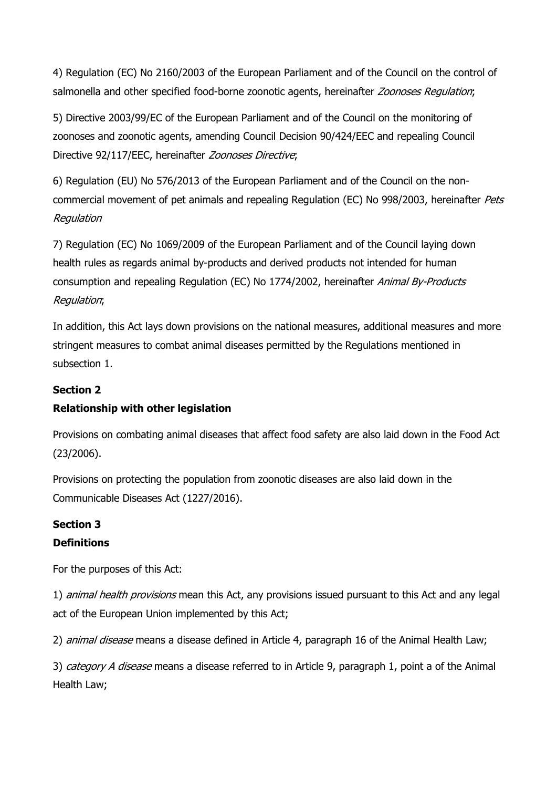4) Regulation (EC) No 2160/2003 of the European Parliament and of the Council on the control of salmonella and other specified food-borne zoonotic agents, hereinafter Zoonoses Regulation;

5) Directive 2003/99/EC of the European Parliament and of the Council on the monitoring of zoonoses and zoonotic agents, amending Council Decision 90/424/EEC and repealing Council Directive 92/117/EEC, hereinafter Zoonoses Directive;

6) Regulation (EU) No 576/2013 of the European Parliament and of the Council on the noncommercial movement of pet animals and repealing Regulation (EC) No 998/2003, hereinafter *Pets* Regulation

7) Regulation (EC) No 1069/2009 of the European Parliament and of the Council laying down health rules as regards animal by-products and derived products not intended for human consumption and repealing Regulation (EC) No 1774/2002, hereinafter Animal By-Products Regulation;

In addition, this Act lays down provisions on the national measures, additional measures and more stringent measures to combat animal diseases permitted by the Regulations mentioned in subsection 1.

# Section 2

# Relationship with other legislation

Provisions on combating animal diseases that affect food safety are also laid down in the Food Act (23/2006).

Provisions on protecting the population from zoonotic diseases are also laid down in the Communicable Diseases Act (1227/2016).

# Section 3

# **Definitions**

For the purposes of this Act:

1) animal health provisions mean this Act, any provisions issued pursuant to this Act and any legal act of the European Union implemented by this Act;

2) *animal disease* means a disease defined in Article 4, paragraph 16 of the Animal Health Law;

3) category A disease means a disease referred to in Article 9, paragraph 1, point a of the Animal Health Law;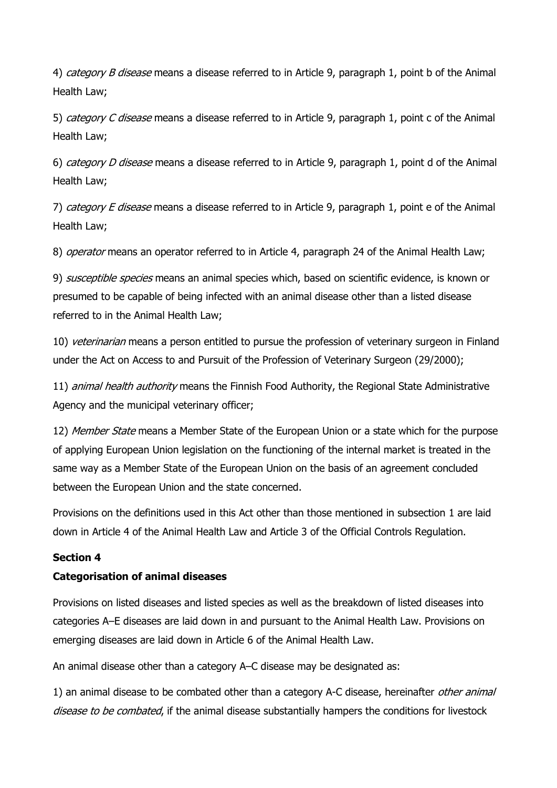4) *category B disease* means a disease referred to in Article 9, paragraph 1, point b of the Animal Health Law;

5) category C disease means a disease referred to in Article 9, paragraph 1, point c of the Animal Health Law;

6) *category D disease* means a disease referred to in Article 9, paragraph 1, point d of the Animal Health Law;

7) category E disease means a disease referred to in Article 9, paragraph 1, point e of the Animal Health Law;

8) *operator* means an operator referred to in Article 4, paragraph 24 of the Animal Health Law;

9) *susceptible species* means an animal species which, based on scientific evidence, is known or presumed to be capable of being infected with an animal disease other than a listed disease referred to in the Animal Health Law;

10) veterinarian means a person entitled to pursue the profession of veterinary surgeon in Finland under the Act on Access to and Pursuit of the Profession of Veterinary Surgeon (29/2000);

11) *animal health authority* means the Finnish Food Authority, the Regional State Administrative Agency and the municipal veterinary officer;

12) Member State means a Member State of the European Union or a state which for the purpose of applying European Union legislation on the functioning of the internal market is treated in the same way as a Member State of the European Union on the basis of an agreement concluded between the European Union and the state concerned.

Provisions on the definitions used in this Act other than those mentioned in subsection 1 are laid down in Article 4 of the Animal Health Law and Article 3 of the Official Controls Regulation.

# Section 4

# Categorisation of animal diseases

Provisions on listed diseases and listed species as well as the breakdown of listed diseases into categories A–E diseases are laid down in and pursuant to the Animal Health Law. Provisions on emerging diseases are laid down in Article 6 of the Animal Health Law.

An animal disease other than a category A–C disease may be designated as:

1) an animal disease to be combated other than a category A-C disease, hereinafter other animal disease to be combated, if the animal disease substantially hampers the conditions for livestock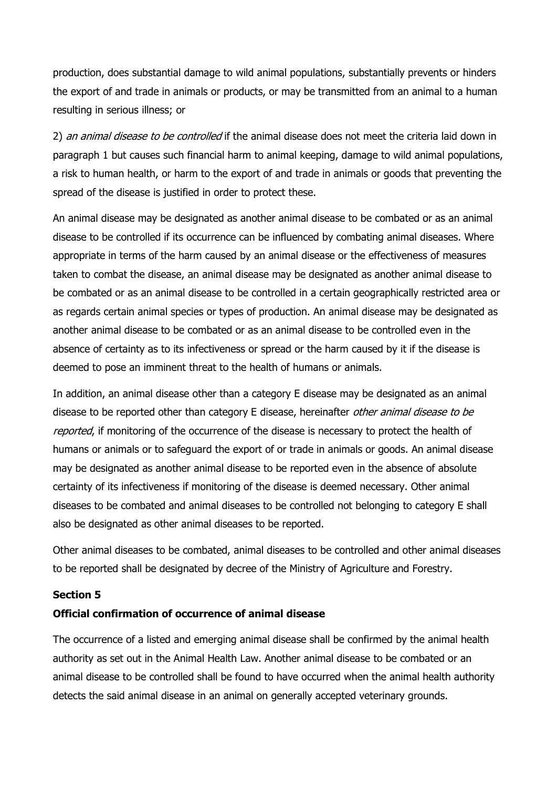production, does substantial damage to wild animal populations, substantially prevents or hinders the export of and trade in animals or products, or may be transmitted from an animal to a human resulting in serious illness; or

2) an animal disease to be controlled if the animal disease does not meet the criteria laid down in paragraph 1 but causes such financial harm to animal keeping, damage to wild animal populations, a risk to human health, or harm to the export of and trade in animals or goods that preventing the spread of the disease is justified in order to protect these.

An animal disease may be designated as another animal disease to be combated or as an animal disease to be controlled if its occurrence can be influenced by combating animal diseases. Where appropriate in terms of the harm caused by an animal disease or the effectiveness of measures taken to combat the disease, an animal disease may be designated as another animal disease to be combated or as an animal disease to be controlled in a certain geographically restricted area or as regards certain animal species or types of production. An animal disease may be designated as another animal disease to be combated or as an animal disease to be controlled even in the absence of certainty as to its infectiveness or spread or the harm caused by it if the disease is deemed to pose an imminent threat to the health of humans or animals.

In addition, an animal disease other than a category E disease may be designated as an animal disease to be reported other than category E disease, hereinafter *other animal disease to be* reported, if monitoring of the occurrence of the disease is necessary to protect the health of humans or animals or to safeguard the export of or trade in animals or goods. An animal disease may be designated as another animal disease to be reported even in the absence of absolute certainty of its infectiveness if monitoring of the disease is deemed necessary. Other animal diseases to be combated and animal diseases to be controlled not belonging to category E shall also be designated as other animal diseases to be reported.

Other animal diseases to be combated, animal diseases to be controlled and other animal diseases to be reported shall be designated by decree of the Ministry of Agriculture and Forestry.

#### Section 5

### Official confirmation of occurrence of animal disease

The occurrence of a listed and emerging animal disease shall be confirmed by the animal health authority as set out in the Animal Health Law. Another animal disease to be combated or an animal disease to be controlled shall be found to have occurred when the animal health authority detects the said animal disease in an animal on generally accepted veterinary grounds.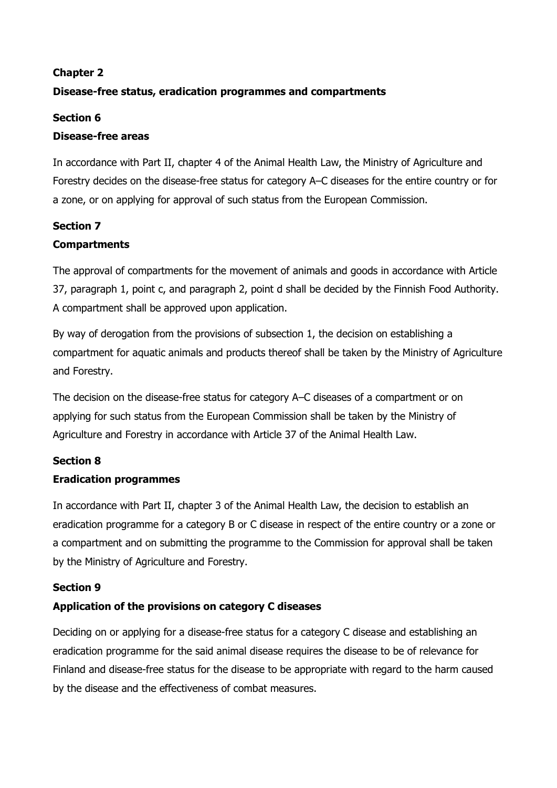# Chapter 2

# Disease-free status, eradication programmes and compartments

### Section 6

## Disease-free areas

In accordance with Part II, chapter 4 of the Animal Health Law, the Ministry of Agriculture and Forestry decides on the disease-free status for category A–C diseases for the entire country or for a zone, or on applying for approval of such status from the European Commission.

# Section 7

# **Compartments**

The approval of compartments for the movement of animals and goods in accordance with Article 37, paragraph 1, point c, and paragraph 2, point d shall be decided by the Finnish Food Authority. A compartment shall be approved upon application.

By way of derogation from the provisions of subsection 1, the decision on establishing a compartment for aquatic animals and products thereof shall be taken by the Ministry of Agriculture and Forestry.

The decision on the disease-free status for category A–C diseases of a compartment or on applying for such status from the European Commission shall be taken by the Ministry of Agriculture and Forestry in accordance with Article 37 of the Animal Health Law.

# Section 8

# Eradication programmes

In accordance with Part II, chapter 3 of the Animal Health Law, the decision to establish an eradication programme for a category B or C disease in respect of the entire country or a zone or a compartment and on submitting the programme to the Commission for approval shall be taken by the Ministry of Agriculture and Forestry.

### Section 9

# Application of the provisions on category C diseases

Deciding on or applying for a disease-free status for a category C disease and establishing an eradication programme for the said animal disease requires the disease to be of relevance for Finland and disease-free status for the disease to be appropriate with regard to the harm caused by the disease and the effectiveness of combat measures.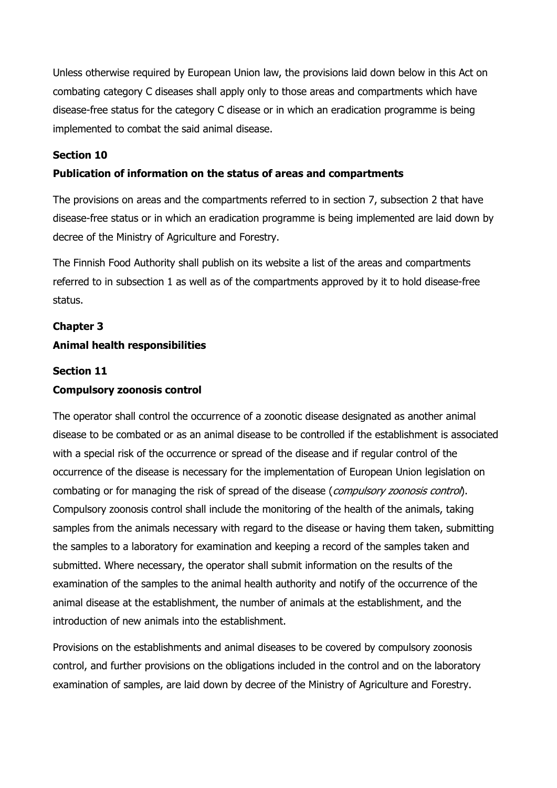Unless otherwise required by European Union law, the provisions laid down below in this Act on combating category C diseases shall apply only to those areas and compartments which have disease-free status for the category C disease or in which an eradication programme is being implemented to combat the said animal disease.

# Section 10

## Publication of information on the status of areas and compartments

The provisions on areas and the compartments referred to in section 7, subsection 2 that have disease-free status or in which an eradication programme is being implemented are laid down by decree of the Ministry of Agriculture and Forestry.

The Finnish Food Authority shall publish on its website a list of the areas and compartments referred to in subsection 1 as well as of the compartments approved by it to hold disease-free status.

# Chapter 3 Animal health responsibilities

### Section 11

## Compulsory zoonosis control

The operator shall control the occurrence of a zoonotic disease designated as another animal disease to be combated or as an animal disease to be controlled if the establishment is associated with a special risk of the occurrence or spread of the disease and if regular control of the occurrence of the disease is necessary for the implementation of European Union legislation on combating or for managing the risk of spread of the disease (*compulsory zoonosis control*). Compulsory zoonosis control shall include the monitoring of the health of the animals, taking samples from the animals necessary with regard to the disease or having them taken, submitting the samples to a laboratory for examination and keeping a record of the samples taken and submitted. Where necessary, the operator shall submit information on the results of the examination of the samples to the animal health authority and notify of the occurrence of the animal disease at the establishment, the number of animals at the establishment, and the introduction of new animals into the establishment.

Provisions on the establishments and animal diseases to be covered by compulsory zoonosis control, and further provisions on the obligations included in the control and on the laboratory examination of samples, are laid down by decree of the Ministry of Agriculture and Forestry.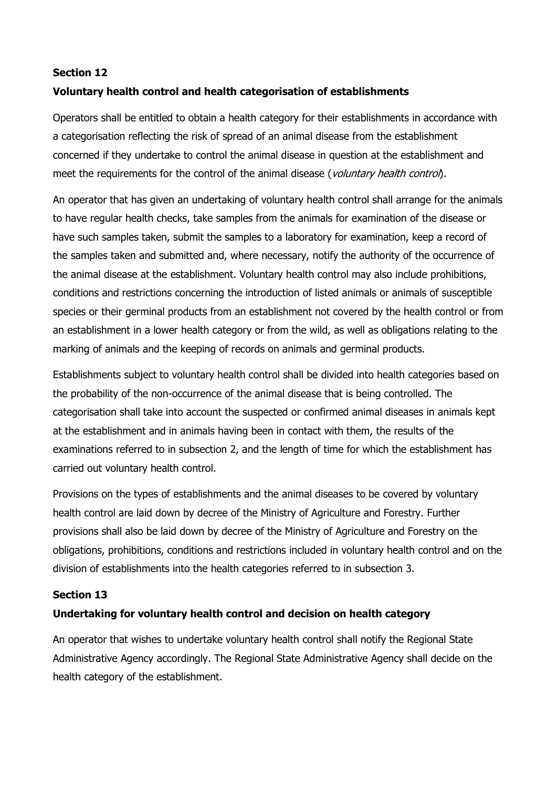## Section 12

# Voluntary health control and health categorisation of establishments

Operators shall be entitled to obtain a health category for their establishments in accordance with a categorisation reflecting the risk of spread of an animal disease from the establishment concerned if they undertake to control the animal disease in question at the establishment and meet the requirements for the control of the animal disease (voluntary health control).

An operator that has given an undertaking of voluntary health control shall arrange for the animals to have regular health checks, take samples from the animals for examination of the disease or have such samples taken, submit the samples to a laboratory for examination, keep a record of the samples taken and submitted and, where necessary, notify the authority of the occurrence of the animal disease at the establishment. Voluntary health control may also include prohibitions, conditions and restrictions concerning the introduction of listed animals or animals of susceptible species or their germinal products from an establishment not covered by the health control or from an establishment in a lower health category or from the wild, as well as obligations relating to the marking of animals and the keeping of records on animals and germinal products.

Establishments subject to voluntary health control shall be divided into health categories based on the probability of the non-occurrence of the animal disease that is being controlled. The categorisation shall take into account the suspected or confirmed animal diseases in animals kept at the establishment and in animals having been in contact with them, the results of the examinations referred to in subsection 2, and the length of time for which the establishment has carried out voluntary health control.

Provisions on the types of establishments and the animal diseases to be covered by voluntary health control are laid down by decree of the Ministry of Agriculture and Forestry. Further provisions shall also be laid down by decree of the Ministry of Agriculture and Forestry on the obligations, prohibitions, conditions and restrictions included in voluntary health control and on the division of establishments into the health categories referred to in subsection 3.

### Section 13

# Undertaking for voluntary health control and decision on health category

An operator that wishes to undertake voluntary health control shall notify the Regional State Administrative Agency accordingly. The Regional State Administrative Agency shall decide on the health category of the establishment.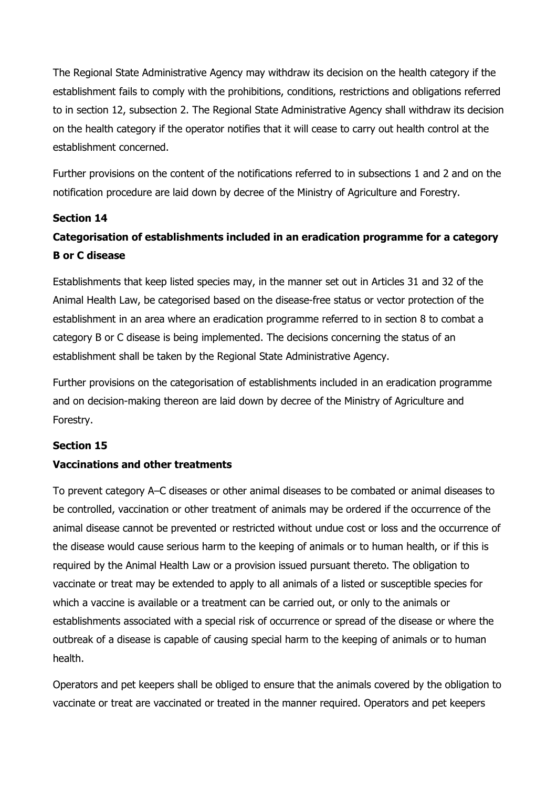The Regional State Administrative Agency may withdraw its decision on the health category if the establishment fails to comply with the prohibitions, conditions, restrictions and obligations referred to in section 12, subsection 2. The Regional State Administrative Agency shall withdraw its decision on the health category if the operator notifies that it will cease to carry out health control at the establishment concerned.

Further provisions on the content of the notifications referred to in subsections 1 and 2 and on the notification procedure are laid down by decree of the Ministry of Agriculture and Forestry.

## Section 14

# Categorisation of establishments included in an eradication programme for a category B or C disease

Establishments that keep listed species may, in the manner set out in Articles 31 and 32 of the Animal Health Law, be categorised based on the disease-free status or vector protection of the establishment in an area where an eradication programme referred to in section 8 to combat a category B or C disease is being implemented. The decisions concerning the status of an establishment shall be taken by the Regional State Administrative Agency.

Further provisions on the categorisation of establishments included in an eradication programme and on decision-making thereon are laid down by decree of the Ministry of Agriculture and Forestry.

### Section 15

# Vaccinations and other treatments

To prevent category A–C diseases or other animal diseases to be combated or animal diseases to be controlled, vaccination or other treatment of animals may be ordered if the occurrence of the animal disease cannot be prevented or restricted without undue cost or loss and the occurrence of the disease would cause serious harm to the keeping of animals or to human health, or if this is required by the Animal Health Law or a provision issued pursuant thereto. The obligation to vaccinate or treat may be extended to apply to all animals of a listed or susceptible species for which a vaccine is available or a treatment can be carried out, or only to the animals or establishments associated with a special risk of occurrence or spread of the disease or where the outbreak of a disease is capable of causing special harm to the keeping of animals or to human health.

Operators and pet keepers shall be obliged to ensure that the animals covered by the obligation to vaccinate or treat are vaccinated or treated in the manner required. Operators and pet keepers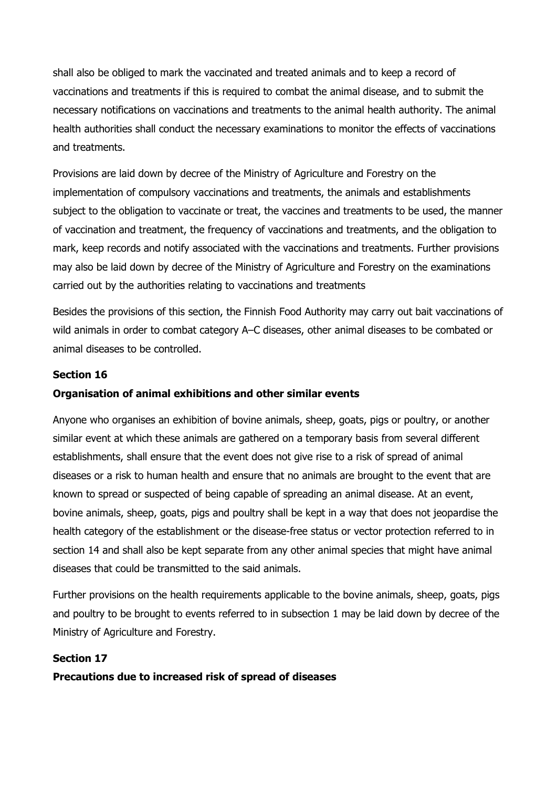shall also be obliged to mark the vaccinated and treated animals and to keep a record of vaccinations and treatments if this is required to combat the animal disease, and to submit the necessary notifications on vaccinations and treatments to the animal health authority. The animal health authorities shall conduct the necessary examinations to monitor the effects of vaccinations and treatments.

Provisions are laid down by decree of the Ministry of Agriculture and Forestry on the implementation of compulsory vaccinations and treatments, the animals and establishments subject to the obligation to vaccinate or treat, the vaccines and treatments to be used, the manner of vaccination and treatment, the frequency of vaccinations and treatments, and the obligation to mark, keep records and notify associated with the vaccinations and treatments. Further provisions may also be laid down by decree of the Ministry of Agriculture and Forestry on the examinations carried out by the authorities relating to vaccinations and treatments

Besides the provisions of this section, the Finnish Food Authority may carry out bait vaccinations of wild animals in order to combat category A–C diseases, other animal diseases to be combated or animal diseases to be controlled.

## Section 16

## Organisation of animal exhibitions and other similar events

Anyone who organises an exhibition of bovine animals, sheep, goats, pigs or poultry, or another similar event at which these animals are gathered on a temporary basis from several different establishments, shall ensure that the event does not give rise to a risk of spread of animal diseases or a risk to human health and ensure that no animals are brought to the event that are known to spread or suspected of being capable of spreading an animal disease. At an event, bovine animals, sheep, goats, pigs and poultry shall be kept in a way that does not jeopardise the health category of the establishment or the disease-free status or vector protection referred to in section 14 and shall also be kept separate from any other animal species that might have animal diseases that could be transmitted to the said animals.

Further provisions on the health requirements applicable to the bovine animals, sheep, goats, pigs and poultry to be brought to events referred to in subsection 1 may be laid down by decree of the Ministry of Agriculture and Forestry.

### Section 17

### Precautions due to increased risk of spread of diseases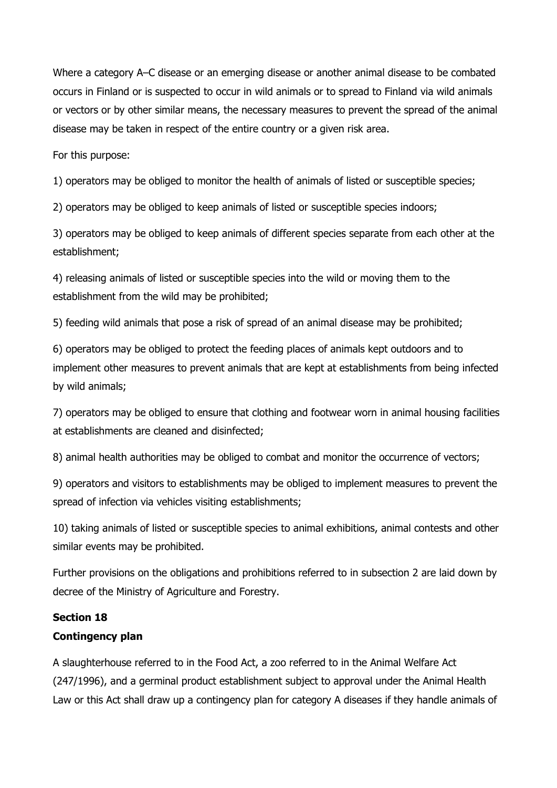Where a category A–C disease or an emerging disease or another animal disease to be combated occurs in Finland or is suspected to occur in wild animals or to spread to Finland via wild animals or vectors or by other similar means, the necessary measures to prevent the spread of the animal disease may be taken in respect of the entire country or a given risk area.

For this purpose:

1) operators may be obliged to monitor the health of animals of listed or susceptible species;

2) operators may be obliged to keep animals of listed or susceptible species indoors;

3) operators may be obliged to keep animals of different species separate from each other at the establishment;

4) releasing animals of listed or susceptible species into the wild or moving them to the establishment from the wild may be prohibited;

5) feeding wild animals that pose a risk of spread of an animal disease may be prohibited;

6) operators may be obliged to protect the feeding places of animals kept outdoors and to implement other measures to prevent animals that are kept at establishments from being infected by wild animals;

7) operators may be obliged to ensure that clothing and footwear worn in animal housing facilities at establishments are cleaned and disinfected;

8) animal health authorities may be obliged to combat and monitor the occurrence of vectors;

9) operators and visitors to establishments may be obliged to implement measures to prevent the spread of infection via vehicles visiting establishments;

10) taking animals of listed or susceptible species to animal exhibitions, animal contests and other similar events may be prohibited.

Further provisions on the obligations and prohibitions referred to in subsection 2 are laid down by decree of the Ministry of Agriculture and Forestry.

# Section 18

# Contingency plan

A slaughterhouse referred to in the Food Act, a zoo referred to in the Animal Welfare Act (247/1996), and a germinal product establishment subject to approval under the Animal Health Law or this Act shall draw up a contingency plan for category A diseases if they handle animals of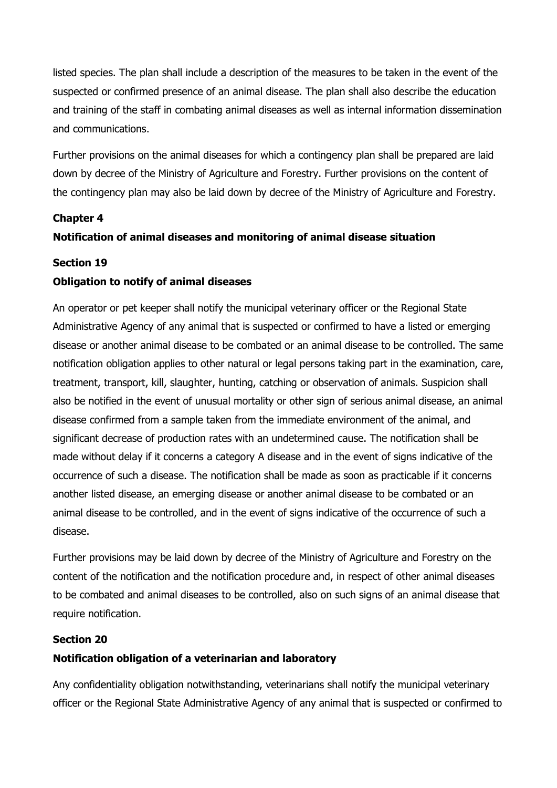listed species. The plan shall include a description of the measures to be taken in the event of the suspected or confirmed presence of an animal disease. The plan shall also describe the education and training of the staff in combating animal diseases as well as internal information dissemination and communications.

Further provisions on the animal diseases for which a contingency plan shall be prepared are laid down by decree of the Ministry of Agriculture and Forestry. Further provisions on the content of the contingency plan may also be laid down by decree of the Ministry of Agriculture and Forestry.

## Chapter 4

# Notification of animal diseases and monitoring of animal disease situation

## Section 19

# Obligation to notify of animal diseases

An operator or pet keeper shall notify the municipal veterinary officer or the Regional State Administrative Agency of any animal that is suspected or confirmed to have a listed or emerging disease or another animal disease to be combated or an animal disease to be controlled. The same notification obligation applies to other natural or legal persons taking part in the examination, care, treatment, transport, kill, slaughter, hunting, catching or observation of animals. Suspicion shall also be notified in the event of unusual mortality or other sign of serious animal disease, an animal disease confirmed from a sample taken from the immediate environment of the animal, and significant decrease of production rates with an undetermined cause. The notification shall be made without delay if it concerns a category A disease and in the event of signs indicative of the occurrence of such a disease. The notification shall be made as soon as practicable if it concerns another listed disease, an emerging disease or another animal disease to be combated or an animal disease to be controlled, and in the event of signs indicative of the occurrence of such a disease.

Further provisions may be laid down by decree of the Ministry of Agriculture and Forestry on the content of the notification and the notification procedure and, in respect of other animal diseases to be combated and animal diseases to be controlled, also on such signs of an animal disease that require notification.

## Section 20

# Notification obligation of a veterinarian and laboratory

Any confidentiality obligation notwithstanding, veterinarians shall notify the municipal veterinary officer or the Regional State Administrative Agency of any animal that is suspected or confirmed to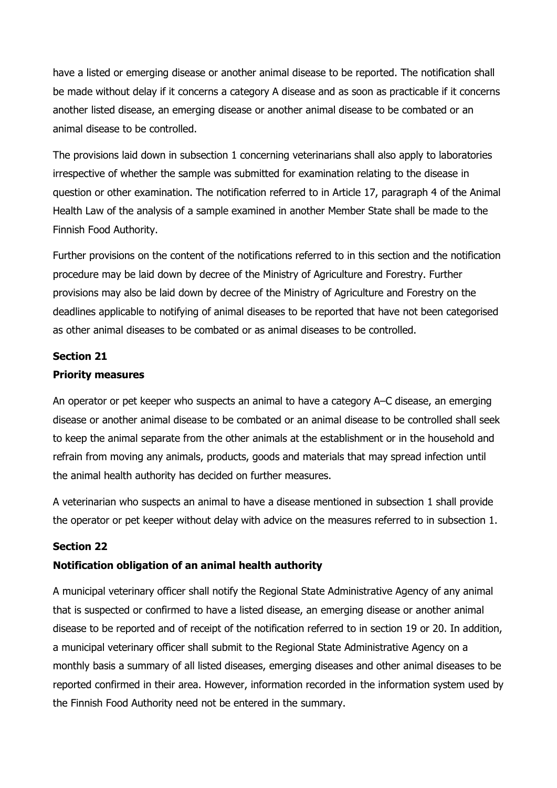have a listed or emerging disease or another animal disease to be reported. The notification shall be made without delay if it concerns a category A disease and as soon as practicable if it concerns another listed disease, an emerging disease or another animal disease to be combated or an animal disease to be controlled.

The provisions laid down in subsection 1 concerning veterinarians shall also apply to laboratories irrespective of whether the sample was submitted for examination relating to the disease in question or other examination. The notification referred to in Article 17, paragraph 4 of the Animal Health Law of the analysis of a sample examined in another Member State shall be made to the Finnish Food Authority.

Further provisions on the content of the notifications referred to in this section and the notification procedure may be laid down by decree of the Ministry of Agriculture and Forestry. Further provisions may also be laid down by decree of the Ministry of Agriculture and Forestry on the deadlines applicable to notifying of animal diseases to be reported that have not been categorised as other animal diseases to be combated or as animal diseases to be controlled.

## Section 21

## Priority measures

An operator or pet keeper who suspects an animal to have a category A–C disease, an emerging disease or another animal disease to be combated or an animal disease to be controlled shall seek to keep the animal separate from the other animals at the establishment or in the household and refrain from moving any animals, products, goods and materials that may spread infection until the animal health authority has decided on further measures.

A veterinarian who suspects an animal to have a disease mentioned in subsection 1 shall provide the operator or pet keeper without delay with advice on the measures referred to in subsection 1.

# Section 22

# Notification obligation of an animal health authority

A municipal veterinary officer shall notify the Regional State Administrative Agency of any animal that is suspected or confirmed to have a listed disease, an emerging disease or another animal disease to be reported and of receipt of the notification referred to in section 19 or 20. In addition, a municipal veterinary officer shall submit to the Regional State Administrative Agency on a monthly basis a summary of all listed diseases, emerging diseases and other animal diseases to be reported confirmed in their area. However, information recorded in the information system used by the Finnish Food Authority need not be entered in the summary.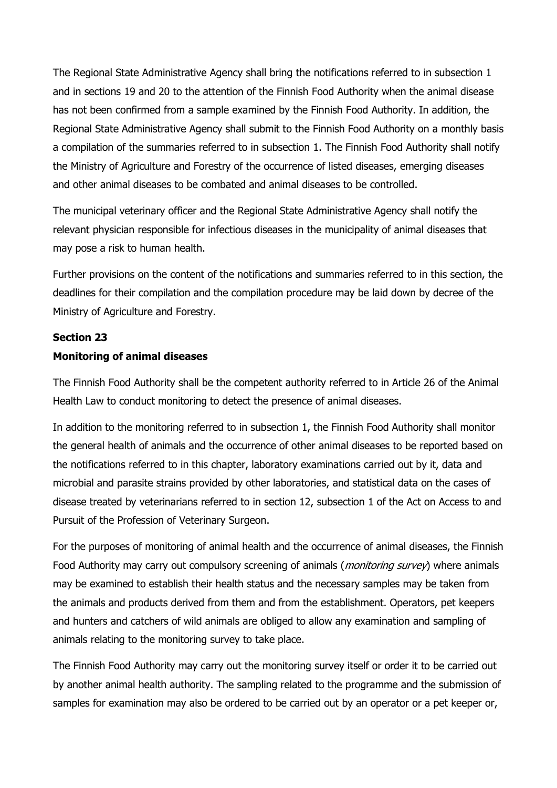The Regional State Administrative Agency shall bring the notifications referred to in subsection 1 and in sections 19 and 20 to the attention of the Finnish Food Authority when the animal disease has not been confirmed from a sample examined by the Finnish Food Authority. In addition, the Regional State Administrative Agency shall submit to the Finnish Food Authority on a monthly basis a compilation of the summaries referred to in subsection 1. The Finnish Food Authority shall notify the Ministry of Agriculture and Forestry of the occurrence of listed diseases, emerging diseases and other animal diseases to be combated and animal diseases to be controlled.

The municipal veterinary officer and the Regional State Administrative Agency shall notify the relevant physician responsible for infectious diseases in the municipality of animal diseases that may pose a risk to human health.

Further provisions on the content of the notifications and summaries referred to in this section, the deadlines for their compilation and the compilation procedure may be laid down by decree of the Ministry of Agriculture and Forestry.

# Section 23 Monitoring of animal diseases

The Finnish Food Authority shall be the competent authority referred to in Article 26 of the Animal Health Law to conduct monitoring to detect the presence of animal diseases.

In addition to the monitoring referred to in subsection 1, the Finnish Food Authority shall monitor the general health of animals and the occurrence of other animal diseases to be reported based on the notifications referred to in this chapter, laboratory examinations carried out by it, data and microbial and parasite strains provided by other laboratories, and statistical data on the cases of disease treated by veterinarians referred to in section 12, subsection 1 of the Act on Access to and Pursuit of the Profession of Veterinary Surgeon.

For the purposes of monitoring of animal health and the occurrence of animal diseases, the Finnish Food Authority may carry out compulsory screening of animals (*monitoring survey*) where animals may be examined to establish their health status and the necessary samples may be taken from the animals and products derived from them and from the establishment. Operators, pet keepers and hunters and catchers of wild animals are obliged to allow any examination and sampling of animals relating to the monitoring survey to take place.

The Finnish Food Authority may carry out the monitoring survey itself or order it to be carried out by another animal health authority. The sampling related to the programme and the submission of samples for examination may also be ordered to be carried out by an operator or a pet keeper or,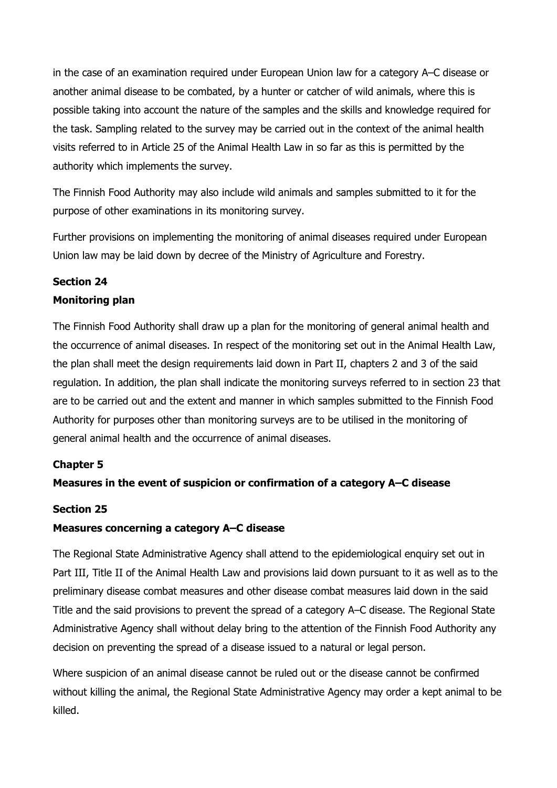in the case of an examination required under European Union law for a category A–C disease or another animal disease to be combated, by a hunter or catcher of wild animals, where this is possible taking into account the nature of the samples and the skills and knowledge required for the task. Sampling related to the survey may be carried out in the context of the animal health visits referred to in Article 25 of the Animal Health Law in so far as this is permitted by the authority which implements the survey.

The Finnish Food Authority may also include wild animals and samples submitted to it for the purpose of other examinations in its monitoring survey.

Further provisions on implementing the monitoring of animal diseases required under European Union law may be laid down by decree of the Ministry of Agriculture and Forestry.

# Section 24

# Monitoring plan

The Finnish Food Authority shall draw up a plan for the monitoring of general animal health and the occurrence of animal diseases. In respect of the monitoring set out in the Animal Health Law, the plan shall meet the design requirements laid down in Part II, chapters 2 and 3 of the said regulation. In addition, the plan shall indicate the monitoring surveys referred to in section 23 that are to be carried out and the extent and manner in which samples submitted to the Finnish Food Authority for purposes other than monitoring surveys are to be utilised in the monitoring of general animal health and the occurrence of animal diseases.

# Chapter 5

# Measures in the event of suspicion or confirmation of a category A–C disease

# Section 25

# Measures concerning a category A–C disease

The Regional State Administrative Agency shall attend to the epidemiological enquiry set out in Part III, Title II of the Animal Health Law and provisions laid down pursuant to it as well as to the preliminary disease combat measures and other disease combat measures laid down in the said Title and the said provisions to prevent the spread of a category A–C disease. The Regional State Administrative Agency shall without delay bring to the attention of the Finnish Food Authority any decision on preventing the spread of a disease issued to a natural or legal person.

Where suspicion of an animal disease cannot be ruled out or the disease cannot be confirmed without killing the animal, the Regional State Administrative Agency may order a kept animal to be killed.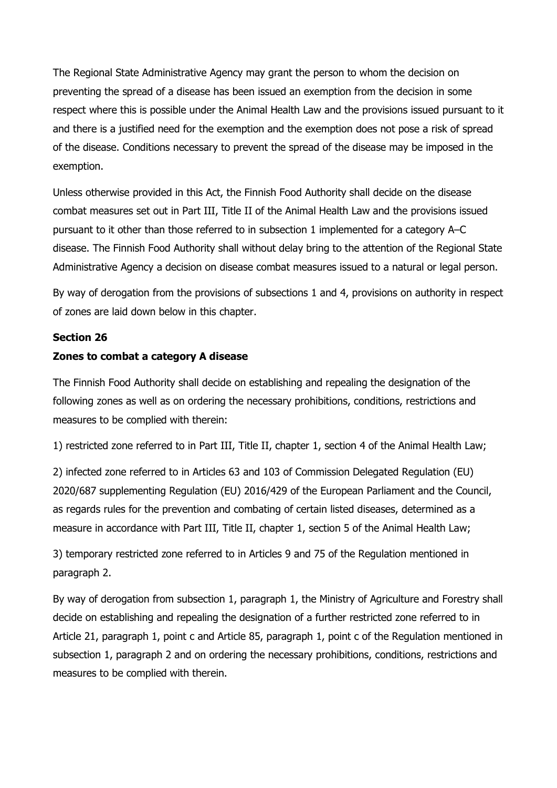The Regional State Administrative Agency may grant the person to whom the decision on preventing the spread of a disease has been issued an exemption from the decision in some respect where this is possible under the Animal Health Law and the provisions issued pursuant to it and there is a justified need for the exemption and the exemption does not pose a risk of spread of the disease. Conditions necessary to prevent the spread of the disease may be imposed in the exemption.

Unless otherwise provided in this Act, the Finnish Food Authority shall decide on the disease combat measures set out in Part III, Title II of the Animal Health Law and the provisions issued pursuant to it other than those referred to in subsection 1 implemented for a category A–C disease. The Finnish Food Authority shall without delay bring to the attention of the Regional State Administrative Agency a decision on disease combat measures issued to a natural or legal person.

By way of derogation from the provisions of subsections 1 and 4, provisions on authority in respect of zones are laid down below in this chapter.

## Section 26

# Zones to combat a category A disease

The Finnish Food Authority shall decide on establishing and repealing the designation of the following zones as well as on ordering the necessary prohibitions, conditions, restrictions and measures to be complied with therein:

1) restricted zone referred to in Part III, Title II, chapter 1, section 4 of the Animal Health Law;

2) infected zone referred to in Articles 63 and 103 of Commission Delegated Regulation (EU) 2020/687 supplementing Regulation (EU) 2016/429 of the European Parliament and the Council, as regards rules for the prevention and combating of certain listed diseases, determined as a measure in accordance with Part III, Title II, chapter 1, section 5 of the Animal Health Law;

3) temporary restricted zone referred to in Articles 9 and 75 of the Regulation mentioned in paragraph 2.

By way of derogation from subsection 1, paragraph 1, the Ministry of Agriculture and Forestry shall decide on establishing and repealing the designation of a further restricted zone referred to in Article 21, paragraph 1, point c and Article 85, paragraph 1, point c of the Regulation mentioned in subsection 1, paragraph 2 and on ordering the necessary prohibitions, conditions, restrictions and measures to be complied with therein.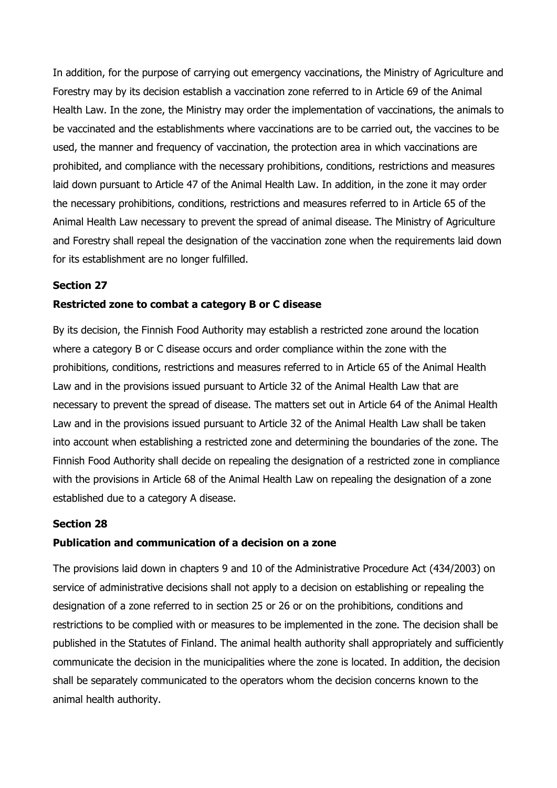In addition, for the purpose of carrying out emergency vaccinations, the Ministry of Agriculture and Forestry may by its decision establish a vaccination zone referred to in Article 69 of the Animal Health Law. In the zone, the Ministry may order the implementation of vaccinations, the animals to be vaccinated and the establishments where vaccinations are to be carried out, the vaccines to be used, the manner and frequency of vaccination, the protection area in which vaccinations are prohibited, and compliance with the necessary prohibitions, conditions, restrictions and measures laid down pursuant to Article 47 of the Animal Health Law. In addition, in the zone it may order the necessary prohibitions, conditions, restrictions and measures referred to in Article 65 of the Animal Health Law necessary to prevent the spread of animal disease. The Ministry of Agriculture and Forestry shall repeal the designation of the vaccination zone when the requirements laid down for its establishment are no longer fulfilled.

# Section 27

### Restricted zone to combat a category B or C disease

By its decision, the Finnish Food Authority may establish a restricted zone around the location where a category B or C disease occurs and order compliance within the zone with the prohibitions, conditions, restrictions and measures referred to in Article 65 of the Animal Health Law and in the provisions issued pursuant to Article 32 of the Animal Health Law that are necessary to prevent the spread of disease. The matters set out in Article 64 of the Animal Health Law and in the provisions issued pursuant to Article 32 of the Animal Health Law shall be taken into account when establishing a restricted zone and determining the boundaries of the zone. The Finnish Food Authority shall decide on repealing the designation of a restricted zone in compliance with the provisions in Article 68 of the Animal Health Law on repealing the designation of a zone established due to a category A disease.

### Section 28

### Publication and communication of a decision on a zone

The provisions laid down in chapters 9 and 10 of the Administrative Procedure Act (434/2003) on service of administrative decisions shall not apply to a decision on establishing or repealing the designation of a zone referred to in section 25 or 26 or on the prohibitions, conditions and restrictions to be complied with or measures to be implemented in the zone. The decision shall be published in the Statutes of Finland. The animal health authority shall appropriately and sufficiently communicate the decision in the municipalities where the zone is located. In addition, the decision shall be separately communicated to the operators whom the decision concerns known to the animal health authority.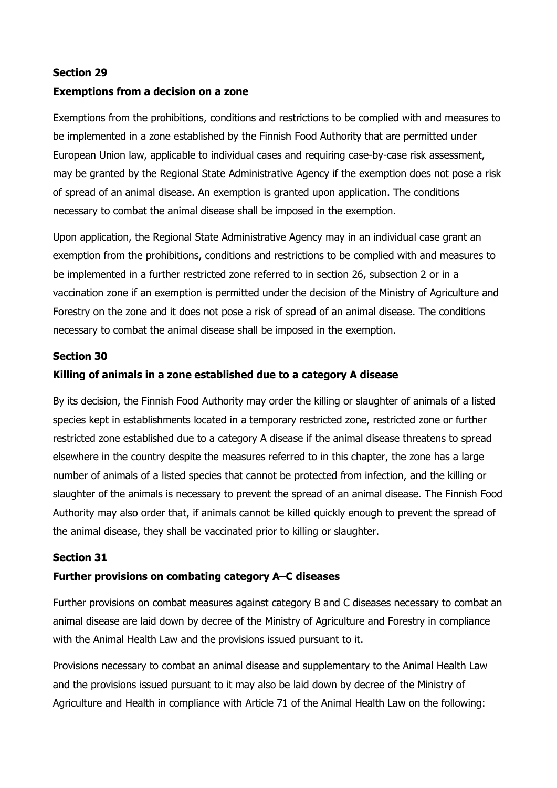## Section 29

## Exemptions from a decision on a zone

Exemptions from the prohibitions, conditions and restrictions to be complied with and measures to be implemented in a zone established by the Finnish Food Authority that are permitted under European Union law, applicable to individual cases and requiring case-by-case risk assessment, may be granted by the Regional State Administrative Agency if the exemption does not pose a risk of spread of an animal disease. An exemption is granted upon application. The conditions necessary to combat the animal disease shall be imposed in the exemption.

Upon application, the Regional State Administrative Agency may in an individual case grant an exemption from the prohibitions, conditions and restrictions to be complied with and measures to be implemented in a further restricted zone referred to in section 26, subsection 2 or in a vaccination zone if an exemption is permitted under the decision of the Ministry of Agriculture and Forestry on the zone and it does not pose a risk of spread of an animal disease. The conditions necessary to combat the animal disease shall be imposed in the exemption.

## Section 30

## Killing of animals in a zone established due to a category A disease

By its decision, the Finnish Food Authority may order the killing or slaughter of animals of a listed species kept in establishments located in a temporary restricted zone, restricted zone or further restricted zone established due to a category A disease if the animal disease threatens to spread elsewhere in the country despite the measures referred to in this chapter, the zone has a large number of animals of a listed species that cannot be protected from infection, and the killing or slaughter of the animals is necessary to prevent the spread of an animal disease. The Finnish Food Authority may also order that, if animals cannot be killed quickly enough to prevent the spread of the animal disease, they shall be vaccinated prior to killing or slaughter.

### Section 31

### Further provisions on combating category A–C diseases

Further provisions on combat measures against category B and C diseases necessary to combat an animal disease are laid down by decree of the Ministry of Agriculture and Forestry in compliance with the Animal Health Law and the provisions issued pursuant to it.

Provisions necessary to combat an animal disease and supplementary to the Animal Health Law and the provisions issued pursuant to it may also be laid down by decree of the Ministry of Agriculture and Health in compliance with Article 71 of the Animal Health Law on the following: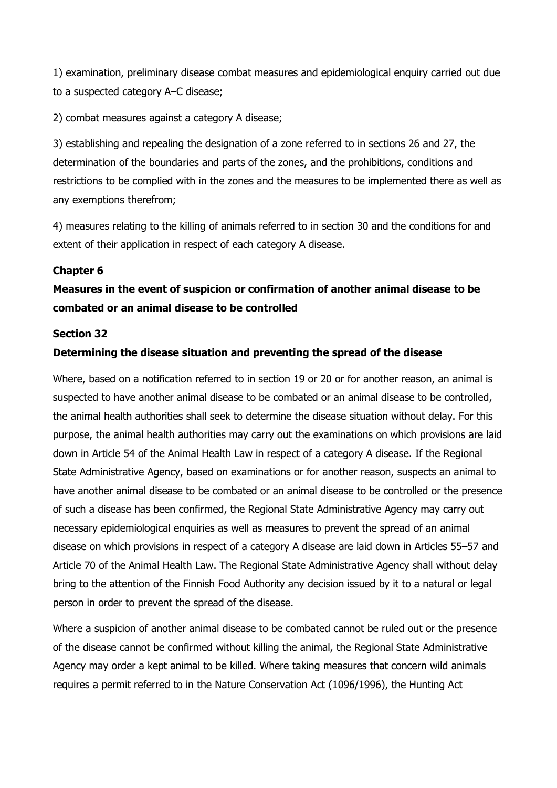1) examination, preliminary disease combat measures and epidemiological enquiry carried out due to a suspected category A–C disease;

2) combat measures against a category A disease;

3) establishing and repealing the designation of a zone referred to in sections 26 and 27, the determination of the boundaries and parts of the zones, and the prohibitions, conditions and restrictions to be complied with in the zones and the measures to be implemented there as well as any exemptions therefrom;

4) measures relating to the killing of animals referred to in section 30 and the conditions for and extent of their application in respect of each category A disease.

# Chapter 6

# Measures in the event of suspicion or confirmation of another animal disease to be combated or an animal disease to be controlled

### Section 32

## Determining the disease situation and preventing the spread of the disease

Where, based on a notification referred to in section 19 or 20 or for another reason, an animal is suspected to have another animal disease to be combated or an animal disease to be controlled, the animal health authorities shall seek to determine the disease situation without delay. For this purpose, the animal health authorities may carry out the examinations on which provisions are laid down in Article 54 of the Animal Health Law in respect of a category A disease. If the Regional State Administrative Agency, based on examinations or for another reason, suspects an animal to have another animal disease to be combated or an animal disease to be controlled or the presence of such a disease has been confirmed, the Regional State Administrative Agency may carry out necessary epidemiological enquiries as well as measures to prevent the spread of an animal disease on which provisions in respect of a category A disease are laid down in Articles 55–57 and Article 70 of the Animal Health Law. The Regional State Administrative Agency shall without delay bring to the attention of the Finnish Food Authority any decision issued by it to a natural or legal person in order to prevent the spread of the disease.

Where a suspicion of another animal disease to be combated cannot be ruled out or the presence of the disease cannot be confirmed without killing the animal, the Regional State Administrative Agency may order a kept animal to be killed. Where taking measures that concern wild animals requires a permit referred to in the Nature Conservation Act (1096/1996), the Hunting Act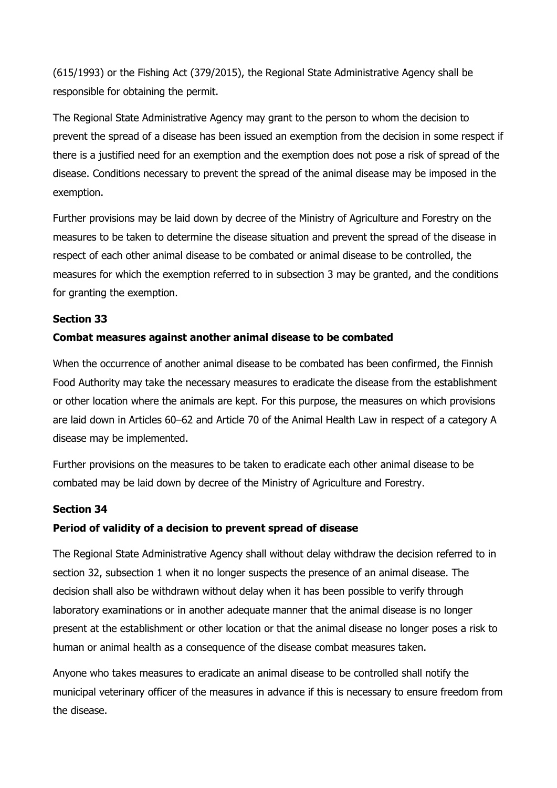(615/1993) or the Fishing Act (379/2015), the Regional State Administrative Agency shall be responsible for obtaining the permit.

The Regional State Administrative Agency may grant to the person to whom the decision to prevent the spread of a disease has been issued an exemption from the decision in some respect if there is a justified need for an exemption and the exemption does not pose a risk of spread of the disease. Conditions necessary to prevent the spread of the animal disease may be imposed in the exemption.

Further provisions may be laid down by decree of the Ministry of Agriculture and Forestry on the measures to be taken to determine the disease situation and prevent the spread of the disease in respect of each other animal disease to be combated or animal disease to be controlled, the measures for which the exemption referred to in subsection 3 may be granted, and the conditions for granting the exemption.

# Section 33

## Combat measures against another animal disease to be combated

When the occurrence of another animal disease to be combated has been confirmed, the Finnish Food Authority may take the necessary measures to eradicate the disease from the establishment or other location where the animals are kept. For this purpose, the measures on which provisions are laid down in Articles 60–62 and Article 70 of the Animal Health Law in respect of a category A disease may be implemented.

Further provisions on the measures to be taken to eradicate each other animal disease to be combated may be laid down by decree of the Ministry of Agriculture and Forestry.

## Section 34

### Period of validity of a decision to prevent spread of disease

The Regional State Administrative Agency shall without delay withdraw the decision referred to in section 32, subsection 1 when it no longer suspects the presence of an animal disease. The decision shall also be withdrawn without delay when it has been possible to verify through laboratory examinations or in another adequate manner that the animal disease is no longer present at the establishment or other location or that the animal disease no longer poses a risk to human or animal health as a consequence of the disease combat measures taken.

Anyone who takes measures to eradicate an animal disease to be controlled shall notify the municipal veterinary officer of the measures in advance if this is necessary to ensure freedom from the disease.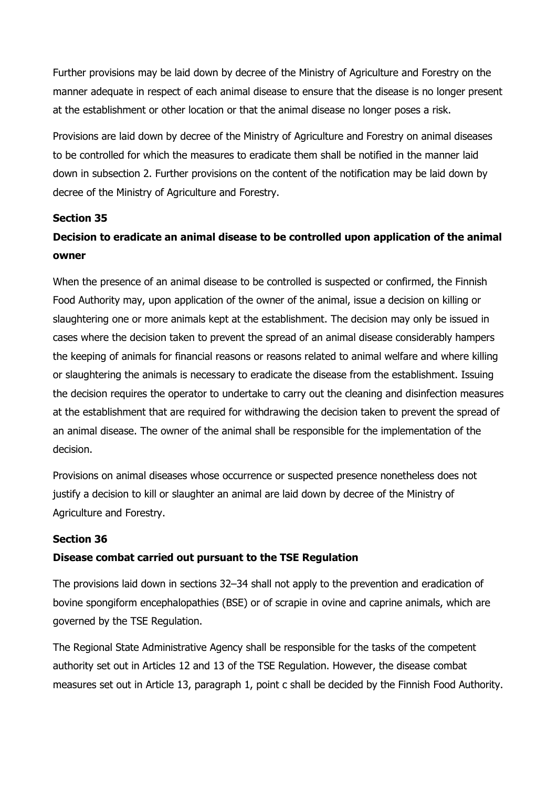Further provisions may be laid down by decree of the Ministry of Agriculture and Forestry on the manner adequate in respect of each animal disease to ensure that the disease is no longer present at the establishment or other location or that the animal disease no longer poses a risk.

Provisions are laid down by decree of the Ministry of Agriculture and Forestry on animal diseases to be controlled for which the measures to eradicate them shall be notified in the manner laid down in subsection 2. Further provisions on the content of the notification may be laid down by decree of the Ministry of Agriculture and Forestry.

# Section 35

# Decision to eradicate an animal disease to be controlled upon application of the animal owner

When the presence of an animal disease to be controlled is suspected or confirmed, the Finnish Food Authority may, upon application of the owner of the animal, issue a decision on killing or slaughtering one or more animals kept at the establishment. The decision may only be issued in cases where the decision taken to prevent the spread of an animal disease considerably hampers the keeping of animals for financial reasons or reasons related to animal welfare and where killing or slaughtering the animals is necessary to eradicate the disease from the establishment. Issuing the decision requires the operator to undertake to carry out the cleaning and disinfection measures at the establishment that are required for withdrawing the decision taken to prevent the spread of an animal disease. The owner of the animal shall be responsible for the implementation of the decision.

Provisions on animal diseases whose occurrence or suspected presence nonetheless does not justify a decision to kill or slaughter an animal are laid down by decree of the Ministry of Agriculture and Forestry.

# Section 36

### Disease combat carried out pursuant to the TSE Regulation

The provisions laid down in sections 32–34 shall not apply to the prevention and eradication of bovine spongiform encephalopathies (BSE) or of scrapie in ovine and caprine animals, which are governed by the TSE Regulation.

The Regional State Administrative Agency shall be responsible for the tasks of the competent authority set out in Articles 12 and 13 of the TSE Regulation. However, the disease combat measures set out in Article 13, paragraph 1, point c shall be decided by the Finnish Food Authority.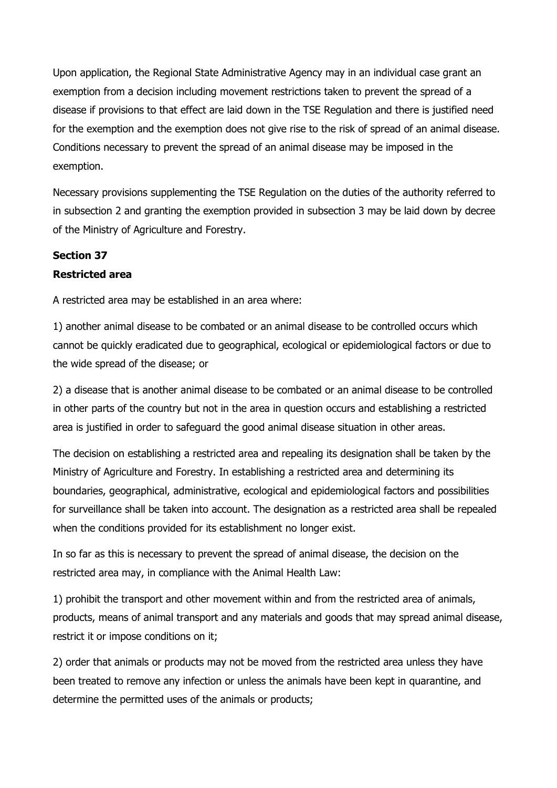Upon application, the Regional State Administrative Agency may in an individual case grant an exemption from a decision including movement restrictions taken to prevent the spread of a disease if provisions to that effect are laid down in the TSE Regulation and there is justified need for the exemption and the exemption does not give rise to the risk of spread of an animal disease. Conditions necessary to prevent the spread of an animal disease may be imposed in the exemption.

Necessary provisions supplementing the TSE Regulation on the duties of the authority referred to in subsection 2 and granting the exemption provided in subsection 3 may be laid down by decree of the Ministry of Agriculture and Forestry.

# Section 37 Restricted area

A restricted area may be established in an area where:

1) another animal disease to be combated or an animal disease to be controlled occurs which cannot be quickly eradicated due to geographical, ecological or epidemiological factors or due to the wide spread of the disease; or

2) a disease that is another animal disease to be combated or an animal disease to be controlled in other parts of the country but not in the area in question occurs and establishing a restricted area is justified in order to safeguard the good animal disease situation in other areas.

The decision on establishing a restricted area and repealing its designation shall be taken by the Ministry of Agriculture and Forestry. In establishing a restricted area and determining its boundaries, geographical, administrative, ecological and epidemiological factors and possibilities for surveillance shall be taken into account. The designation as a restricted area shall be repealed when the conditions provided for its establishment no longer exist.

In so far as this is necessary to prevent the spread of animal disease, the decision on the restricted area may, in compliance with the Animal Health Law:

1) prohibit the transport and other movement within and from the restricted area of animals, products, means of animal transport and any materials and goods that may spread animal disease, restrict it or impose conditions on it;

2) order that animals or products may not be moved from the restricted area unless they have been treated to remove any infection or unless the animals have been kept in quarantine, and determine the permitted uses of the animals or products;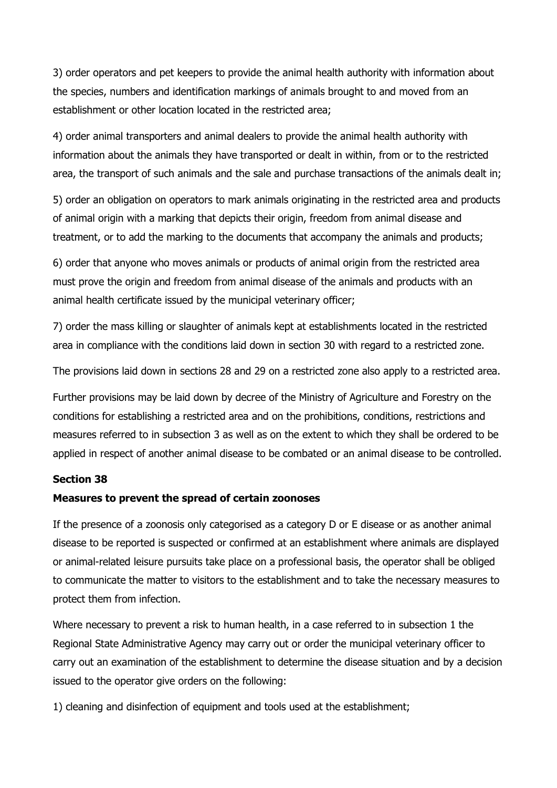3) order operators and pet keepers to provide the animal health authority with information about the species, numbers and identification markings of animals brought to and moved from an establishment or other location located in the restricted area;

4) order animal transporters and animal dealers to provide the animal health authority with information about the animals they have transported or dealt in within, from or to the restricted area, the transport of such animals and the sale and purchase transactions of the animals dealt in;

5) order an obligation on operators to mark animals originating in the restricted area and products of animal origin with a marking that depicts their origin, freedom from animal disease and treatment, or to add the marking to the documents that accompany the animals and products;

6) order that anyone who moves animals or products of animal origin from the restricted area must prove the origin and freedom from animal disease of the animals and products with an animal health certificate issued by the municipal veterinary officer;

7) order the mass killing or slaughter of animals kept at establishments located in the restricted area in compliance with the conditions laid down in section 30 with regard to a restricted zone.

The provisions laid down in sections 28 and 29 on a restricted zone also apply to a restricted area.

Further provisions may be laid down by decree of the Ministry of Agriculture and Forestry on the conditions for establishing a restricted area and on the prohibitions, conditions, restrictions and measures referred to in subsection 3 as well as on the extent to which they shall be ordered to be applied in respect of another animal disease to be combated or an animal disease to be controlled.

### Section 38

# Measures to prevent the spread of certain zoonoses

If the presence of a zoonosis only categorised as a category D or E disease or as another animal disease to be reported is suspected or confirmed at an establishment where animals are displayed or animal-related leisure pursuits take place on a professional basis, the operator shall be obliged to communicate the matter to visitors to the establishment and to take the necessary measures to protect them from infection.

Where necessary to prevent a risk to human health, in a case referred to in subsection 1 the Regional State Administrative Agency may carry out or order the municipal veterinary officer to carry out an examination of the establishment to determine the disease situation and by a decision issued to the operator give orders on the following:

1) cleaning and disinfection of equipment and tools used at the establishment;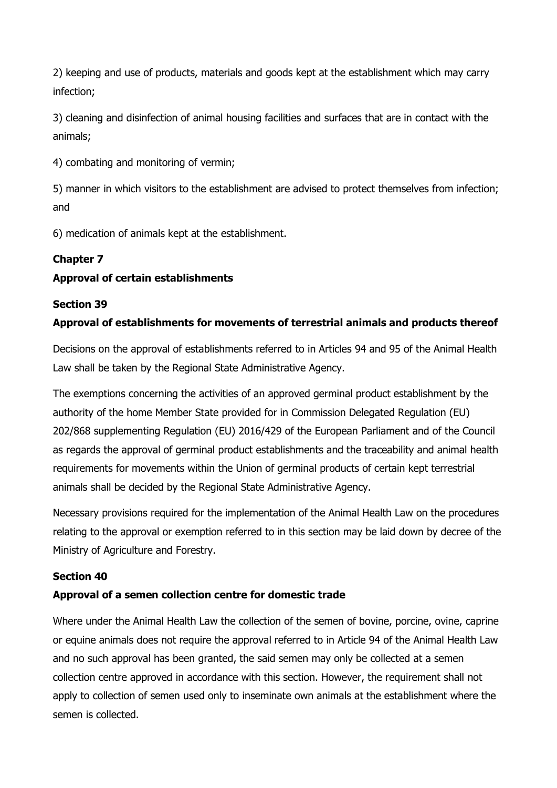2) keeping and use of products, materials and goods kept at the establishment which may carry infection;

3) cleaning and disinfection of animal housing facilities and surfaces that are in contact with the animals;

4) combating and monitoring of vermin;

5) manner in which visitors to the establishment are advised to protect themselves from infection; and

6) medication of animals kept at the establishment.

# Chapter 7

# Approval of certain establishments

# Section 39

# Approval of establishments for movements of terrestrial animals and products thereof

Decisions on the approval of establishments referred to in Articles 94 and 95 of the Animal Health Law shall be taken by the Regional State Administrative Agency.

The exemptions concerning the activities of an approved germinal product establishment by the authority of the home Member State provided for in Commission Delegated Regulation (EU) 202/868 supplementing Regulation (EU) 2016/429 of the European Parliament and of the Council as regards the approval of germinal product establishments and the traceability and animal health requirements for movements within the Union of germinal products of certain kept terrestrial animals shall be decided by the Regional State Administrative Agency.

Necessary provisions required for the implementation of the Animal Health Law on the procedures relating to the approval or exemption referred to in this section may be laid down by decree of the Ministry of Agriculture and Forestry.

# Section 40

# Approval of a semen collection centre for domestic trade

Where under the Animal Health Law the collection of the semen of bovine, porcine, ovine, caprine or equine animals does not require the approval referred to in Article 94 of the Animal Health Law and no such approval has been granted, the said semen may only be collected at a semen collection centre approved in accordance with this section. However, the requirement shall not apply to collection of semen used only to inseminate own animals at the establishment where the semen is collected.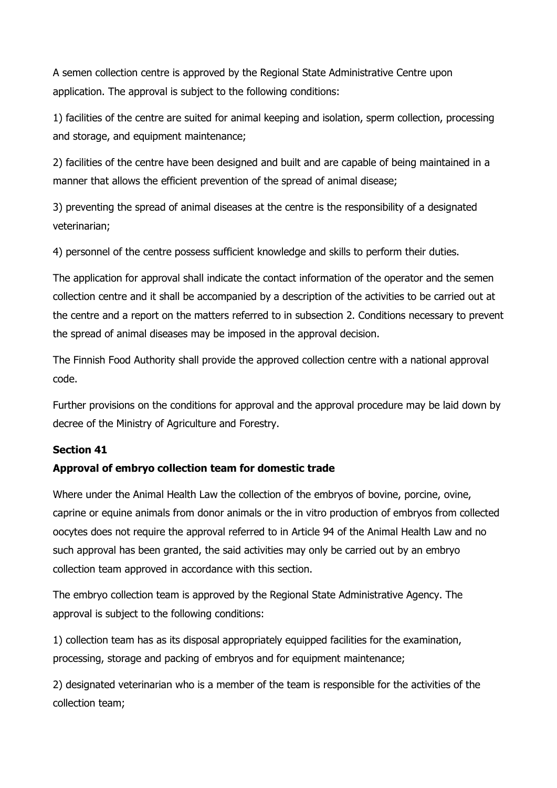A semen collection centre is approved by the Regional State Administrative Centre upon application. The approval is subject to the following conditions:

1) facilities of the centre are suited for animal keeping and isolation, sperm collection, processing and storage, and equipment maintenance;

2) facilities of the centre have been designed and built and are capable of being maintained in a manner that allows the efficient prevention of the spread of animal disease;

3) preventing the spread of animal diseases at the centre is the responsibility of a designated veterinarian;

4) personnel of the centre possess sufficient knowledge and skills to perform their duties.

The application for approval shall indicate the contact information of the operator and the semen collection centre and it shall be accompanied by a description of the activities to be carried out at the centre and a report on the matters referred to in subsection 2. Conditions necessary to prevent the spread of animal diseases may be imposed in the approval decision.

The Finnish Food Authority shall provide the approved collection centre with a national approval code.

Further provisions on the conditions for approval and the approval procedure may be laid down by decree of the Ministry of Agriculture and Forestry.

# Section 41

# Approval of embryo collection team for domestic trade

Where under the Animal Health Law the collection of the embryos of bovine, porcine, ovine, caprine or equine animals from donor animals or the in vitro production of embryos from collected oocytes does not require the approval referred to in Article 94 of the Animal Health Law and no such approval has been granted, the said activities may only be carried out by an embryo collection team approved in accordance with this section.

The embryo collection team is approved by the Regional State Administrative Agency. The approval is subject to the following conditions:

1) collection team has as its disposal appropriately equipped facilities for the examination, processing, storage and packing of embryos and for equipment maintenance;

2) designated veterinarian who is a member of the team is responsible for the activities of the collection team;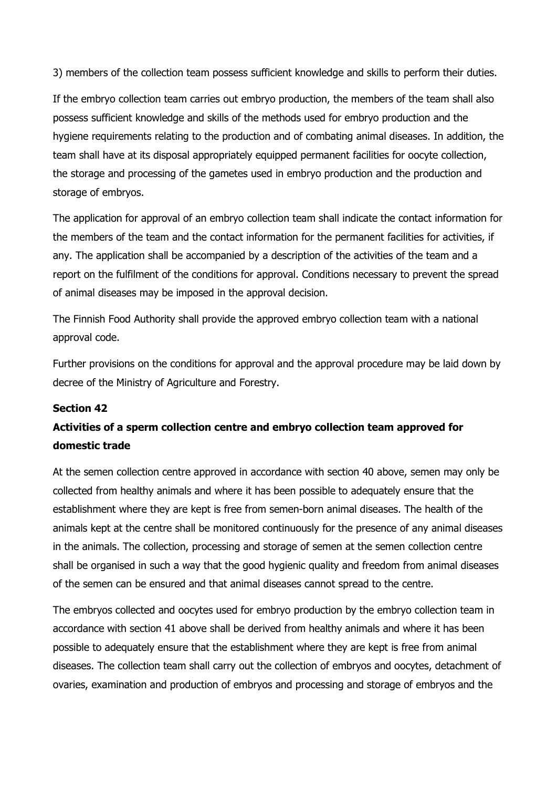3) members of the collection team possess sufficient knowledge and skills to perform their duties.

If the embryo collection team carries out embryo production, the members of the team shall also possess sufficient knowledge and skills of the methods used for embryo production and the hygiene requirements relating to the production and of combating animal diseases. In addition, the team shall have at its disposal appropriately equipped permanent facilities for oocyte collection, the storage and processing of the gametes used in embryo production and the production and storage of embryos.

The application for approval of an embryo collection team shall indicate the contact information for the members of the team and the contact information for the permanent facilities for activities, if any. The application shall be accompanied by a description of the activities of the team and a report on the fulfilment of the conditions for approval. Conditions necessary to prevent the spread of animal diseases may be imposed in the approval decision.

The Finnish Food Authority shall provide the approved embryo collection team with a national approval code.

Further provisions on the conditions for approval and the approval procedure may be laid down by decree of the Ministry of Agriculture and Forestry.

# Section 42

# Activities of a sperm collection centre and embryo collection team approved for domestic trade

At the semen collection centre approved in accordance with section 40 above, semen may only be collected from healthy animals and where it has been possible to adequately ensure that the establishment where they are kept is free from semen-born animal diseases. The health of the animals kept at the centre shall be monitored continuously for the presence of any animal diseases in the animals. The collection, processing and storage of semen at the semen collection centre shall be organised in such a way that the good hygienic quality and freedom from animal diseases of the semen can be ensured and that animal diseases cannot spread to the centre.

The embryos collected and oocytes used for embryo production by the embryo collection team in accordance with section 41 above shall be derived from healthy animals and where it has been possible to adequately ensure that the establishment where they are kept is free from animal diseases. The collection team shall carry out the collection of embryos and oocytes, detachment of ovaries, examination and production of embryos and processing and storage of embryos and the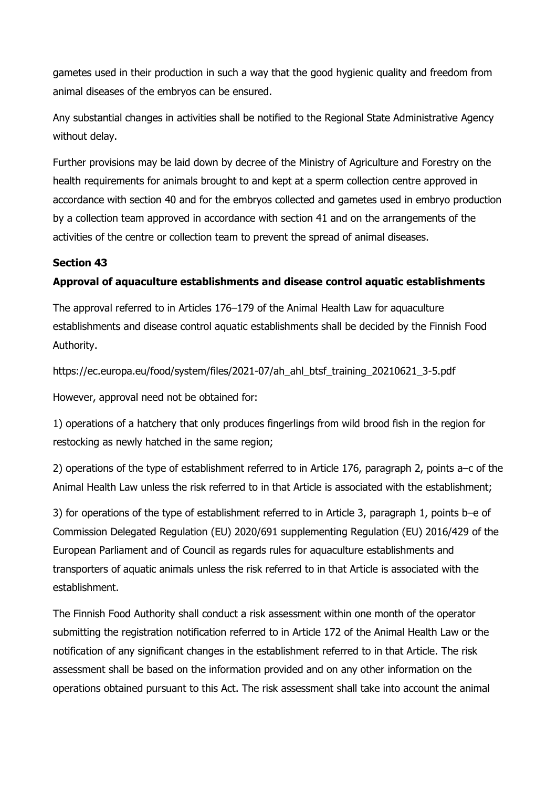gametes used in their production in such a way that the good hygienic quality and freedom from animal diseases of the embryos can be ensured.

Any substantial changes in activities shall be notified to the Regional State Administrative Agency without delay.

Further provisions may be laid down by decree of the Ministry of Agriculture and Forestry on the health requirements for animals brought to and kept at a sperm collection centre approved in accordance with section 40 and for the embryos collected and gametes used in embryo production by a collection team approved in accordance with section 41 and on the arrangements of the activities of the centre or collection team to prevent the spread of animal diseases.

# Section 43

# Approval of aquaculture establishments and disease control aquatic establishments

The approval referred to in Articles 176–179 of the Animal Health Law for aquaculture establishments and disease control aquatic establishments shall be decided by the Finnish Food Authority.

https://ec.europa.eu/food/system/files/2021-07/ah\_ahl\_btsf\_training\_20210621\_3-5.pdf

However, approval need not be obtained for:

1) operations of a hatchery that only produces fingerlings from wild brood fish in the region for restocking as newly hatched in the same region;

2) operations of the type of establishment referred to in Article 176, paragraph 2, points a–c of the Animal Health Law unless the risk referred to in that Article is associated with the establishment;

3) for operations of the type of establishment referred to in Article 3, paragraph 1, points b–e of Commission Delegated Regulation (EU) 2020/691 supplementing Regulation (EU) 2016/429 of the European Parliament and of Council as regards rules for aquaculture establishments and transporters of aquatic animals unless the risk referred to in that Article is associated with the establishment.

The Finnish Food Authority shall conduct a risk assessment within one month of the operator submitting the registration notification referred to in Article 172 of the Animal Health Law or the notification of any significant changes in the establishment referred to in that Article. The risk assessment shall be based on the information provided and on any other information on the operations obtained pursuant to this Act. The risk assessment shall take into account the animal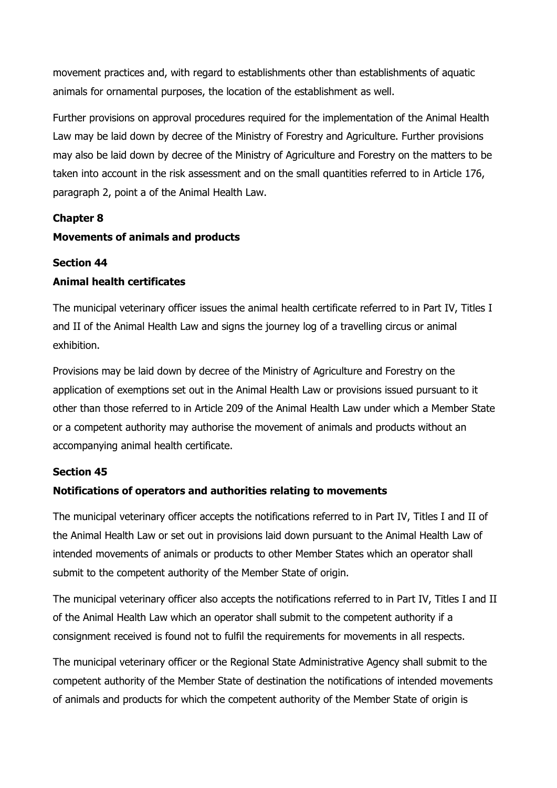movement practices and, with regard to establishments other than establishments of aquatic animals for ornamental purposes, the location of the establishment as well.

Further provisions on approval procedures required for the implementation of the Animal Health Law may be laid down by decree of the Ministry of Forestry and Agriculture. Further provisions may also be laid down by decree of the Ministry of Agriculture and Forestry on the matters to be taken into account in the risk assessment and on the small quantities referred to in Article 176, paragraph 2, point a of the Animal Health Law.

## Chapter 8

## Movements of animals and products

### Section 44

## Animal health certificates

The municipal veterinary officer issues the animal health certificate referred to in Part IV, Titles I and II of the Animal Health Law and signs the journey log of a travelling circus or animal exhibition.

Provisions may be laid down by decree of the Ministry of Agriculture and Forestry on the application of exemptions set out in the Animal Health Law or provisions issued pursuant to it other than those referred to in Article 209 of the Animal Health Law under which a Member State or a competent authority may authorise the movement of animals and products without an accompanying animal health certificate.

### Section 45

### Notifications of operators and authorities relating to movements

The municipal veterinary officer accepts the notifications referred to in Part IV, Titles I and II of the Animal Health Law or set out in provisions laid down pursuant to the Animal Health Law of intended movements of animals or products to other Member States which an operator shall submit to the competent authority of the Member State of origin.

The municipal veterinary officer also accepts the notifications referred to in Part IV, Titles I and II of the Animal Health Law which an operator shall submit to the competent authority if a consignment received is found not to fulfil the requirements for movements in all respects.

The municipal veterinary officer or the Regional State Administrative Agency shall submit to the competent authority of the Member State of destination the notifications of intended movements of animals and products for which the competent authority of the Member State of origin is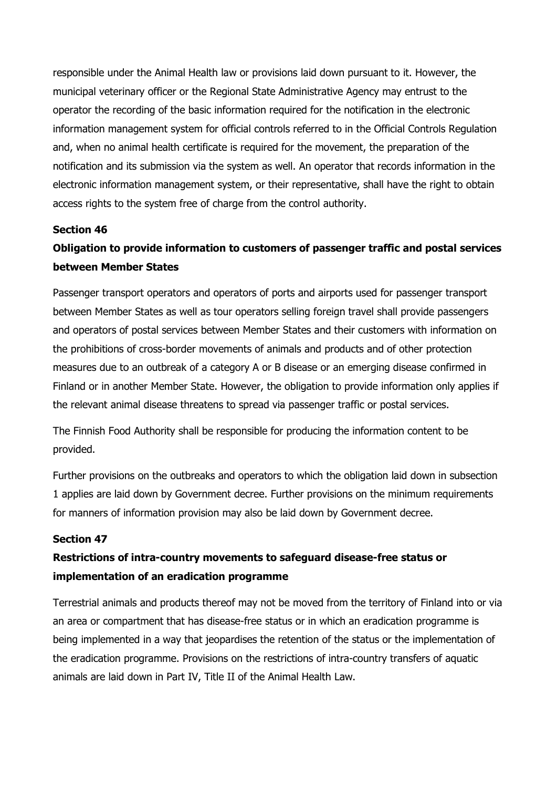responsible under the Animal Health law or provisions laid down pursuant to it. However, the municipal veterinary officer or the Regional State Administrative Agency may entrust to the operator the recording of the basic information required for the notification in the electronic information management system for official controls referred to in the Official Controls Regulation and, when no animal health certificate is required for the movement, the preparation of the notification and its submission via the system as well. An operator that records information in the electronic information management system, or their representative, shall have the right to obtain access rights to the system free of charge from the control authority.

## Section 46

# Obligation to provide information to customers of passenger traffic and postal services between Member States

Passenger transport operators and operators of ports and airports used for passenger transport between Member States as well as tour operators selling foreign travel shall provide passengers and operators of postal services between Member States and their customers with information on the prohibitions of cross-border movements of animals and products and of other protection measures due to an outbreak of a category A or B disease or an emerging disease confirmed in Finland or in another Member State. However, the obligation to provide information only applies if the relevant animal disease threatens to spread via passenger traffic or postal services.

The Finnish Food Authority shall be responsible for producing the information content to be provided.

Further provisions on the outbreaks and operators to which the obligation laid down in subsection 1 applies are laid down by Government decree. Further provisions on the minimum requirements for manners of information provision may also be laid down by Government decree.

# Section 47

# Restrictions of intra-country movements to safeguard disease-free status or implementation of an eradication programme

Terrestrial animals and products thereof may not be moved from the territory of Finland into or via an area or compartment that has disease-free status or in which an eradication programme is being implemented in a way that jeopardises the retention of the status or the implementation of the eradication programme. Provisions on the restrictions of intra-country transfers of aquatic animals are laid down in Part IV, Title II of the Animal Health Law.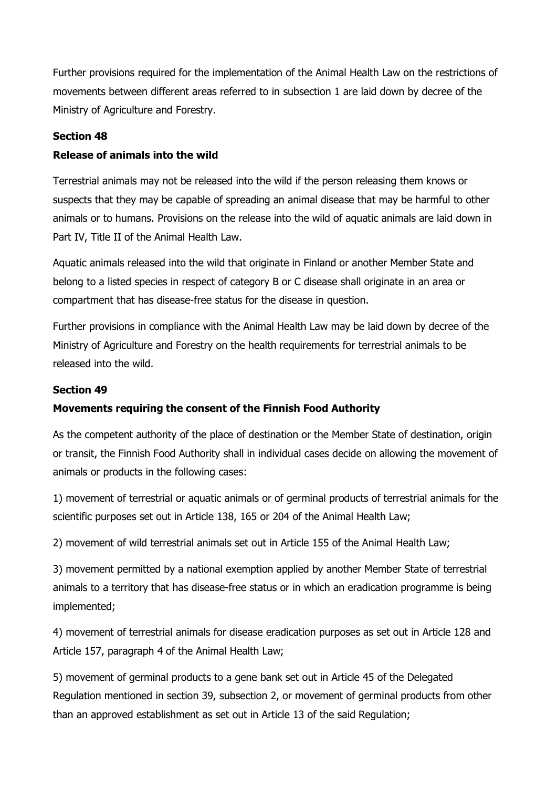Further provisions required for the implementation of the Animal Health Law on the restrictions of movements between different areas referred to in subsection 1 are laid down by decree of the Ministry of Agriculture and Forestry.

## Section 48

# Release of animals into the wild

Terrestrial animals may not be released into the wild if the person releasing them knows or suspects that they may be capable of spreading an animal disease that may be harmful to other animals or to humans. Provisions on the release into the wild of aquatic animals are laid down in Part IV, Title II of the Animal Health Law.

Aquatic animals released into the wild that originate in Finland or another Member State and belong to a listed species in respect of category B or C disease shall originate in an area or compartment that has disease-free status for the disease in question.

Further provisions in compliance with the Animal Health Law may be laid down by decree of the Ministry of Agriculture and Forestry on the health requirements for terrestrial animals to be released into the wild.

## Section 49

# Movements requiring the consent of the Finnish Food Authority

As the competent authority of the place of destination or the Member State of destination, origin or transit, the Finnish Food Authority shall in individual cases decide on allowing the movement of animals or products in the following cases:

1) movement of terrestrial or aquatic animals or of germinal products of terrestrial animals for the scientific purposes set out in Article 138, 165 or 204 of the Animal Health Law;

2) movement of wild terrestrial animals set out in Article 155 of the Animal Health Law;

3) movement permitted by a national exemption applied by another Member State of terrestrial animals to a territory that has disease-free status or in which an eradication programme is being implemented;

4) movement of terrestrial animals for disease eradication purposes as set out in Article 128 and Article 157, paragraph 4 of the Animal Health Law;

5) movement of germinal products to a gene bank set out in Article 45 of the Delegated Regulation mentioned in section 39, subsection 2, or movement of germinal products from other than an approved establishment as set out in Article 13 of the said Regulation;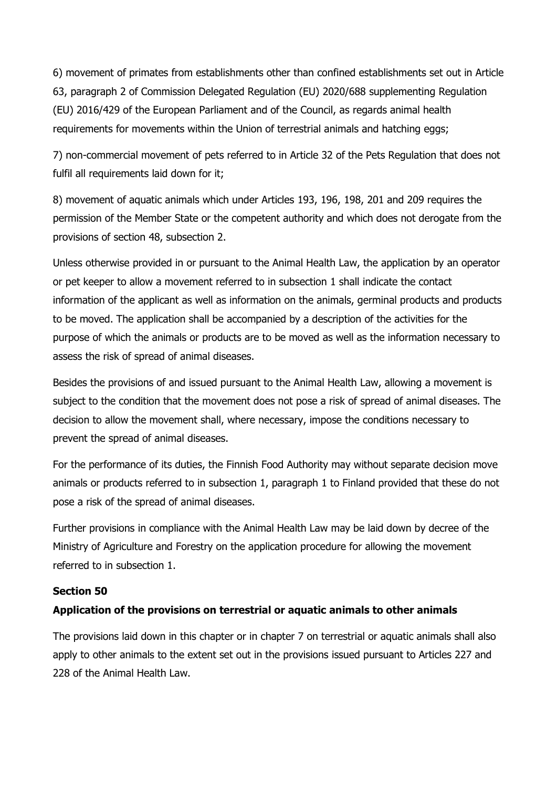6) movement of primates from establishments other than confined establishments set out in Article 63, paragraph 2 of Commission Delegated Regulation (EU) 2020/688 supplementing Regulation (EU) 2016/429 of the European Parliament and of the Council, as regards animal health requirements for movements within the Union of terrestrial animals and hatching eggs;

7) non-commercial movement of pets referred to in Article 32 of the Pets Regulation that does not fulfil all requirements laid down for it;

8) movement of aquatic animals which under Articles 193, 196, 198, 201 and 209 requires the permission of the Member State or the competent authority and which does not derogate from the provisions of section 48, subsection 2.

Unless otherwise provided in or pursuant to the Animal Health Law, the application by an operator or pet keeper to allow a movement referred to in subsection 1 shall indicate the contact information of the applicant as well as information on the animals, germinal products and products to be moved. The application shall be accompanied by a description of the activities for the purpose of which the animals or products are to be moved as well as the information necessary to assess the risk of spread of animal diseases.

Besides the provisions of and issued pursuant to the Animal Health Law, allowing a movement is subject to the condition that the movement does not pose a risk of spread of animal diseases. The decision to allow the movement shall, where necessary, impose the conditions necessary to prevent the spread of animal diseases.

For the performance of its duties, the Finnish Food Authority may without separate decision move animals or products referred to in subsection 1, paragraph 1 to Finland provided that these do not pose a risk of the spread of animal diseases.

Further provisions in compliance with the Animal Health Law may be laid down by decree of the Ministry of Agriculture and Forestry on the application procedure for allowing the movement referred to in subsection 1.

### Section 50

### Application of the provisions on terrestrial or aquatic animals to other animals

The provisions laid down in this chapter or in chapter 7 on terrestrial or aquatic animals shall also apply to other animals to the extent set out in the provisions issued pursuant to Articles 227 and 228 of the Animal Health Law.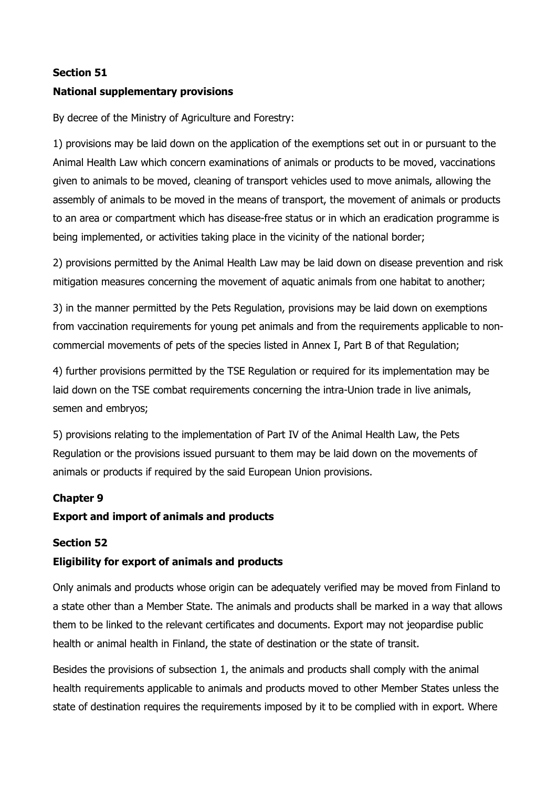# Section 51

## National supplementary provisions

By decree of the Ministry of Agriculture and Forestry:

1) provisions may be laid down on the application of the exemptions set out in or pursuant to the Animal Health Law which concern examinations of animals or products to be moved, vaccinations given to animals to be moved, cleaning of transport vehicles used to move animals, allowing the assembly of animals to be moved in the means of transport, the movement of animals or products to an area or compartment which has disease-free status or in which an eradication programme is being implemented, or activities taking place in the vicinity of the national border;

2) provisions permitted by the Animal Health Law may be laid down on disease prevention and risk mitigation measures concerning the movement of aquatic animals from one habitat to another;

3) in the manner permitted by the Pets Regulation, provisions may be laid down on exemptions from vaccination requirements for young pet animals and from the requirements applicable to noncommercial movements of pets of the species listed in Annex I, Part B of that Regulation;

4) further provisions permitted by the TSE Regulation or required for its implementation may be laid down on the TSE combat requirements concerning the intra-Union trade in live animals, semen and embryos;

5) provisions relating to the implementation of Part IV of the Animal Health Law, the Pets Regulation or the provisions issued pursuant to them may be laid down on the movements of animals or products if required by the said European Union provisions.

### Chapter 9

### Export and import of animals and products

### Section 52

### Eligibility for export of animals and products

Only animals and products whose origin can be adequately verified may be moved from Finland to a state other than a Member State. The animals and products shall be marked in a way that allows them to be linked to the relevant certificates and documents. Export may not jeopardise public health or animal health in Finland, the state of destination or the state of transit.

Besides the provisions of subsection 1, the animals and products shall comply with the animal health requirements applicable to animals and products moved to other Member States unless the state of destination requires the requirements imposed by it to be complied with in export. Where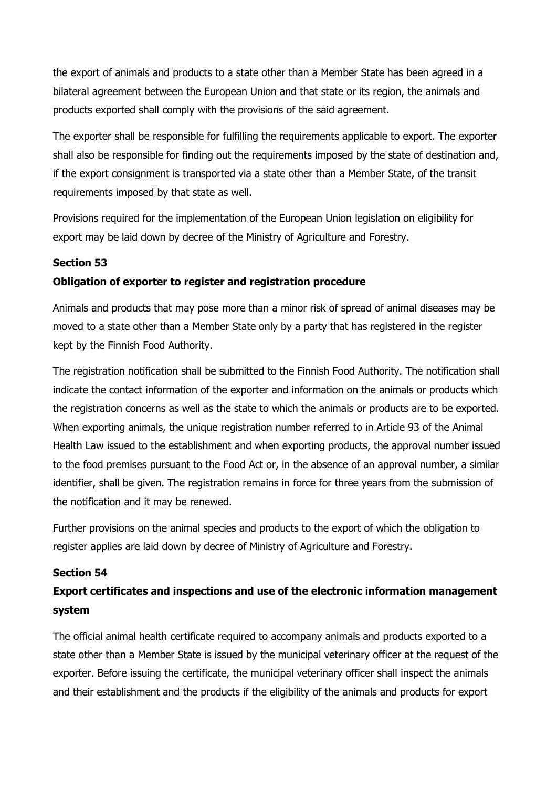the export of animals and products to a state other than a Member State has been agreed in a bilateral agreement between the European Union and that state or its region, the animals and products exported shall comply with the provisions of the said agreement.

The exporter shall be responsible for fulfilling the requirements applicable to export. The exporter shall also be responsible for finding out the requirements imposed by the state of destination and, if the export consignment is transported via a state other than a Member State, of the transit requirements imposed by that state as well.

Provisions required for the implementation of the European Union legislation on eligibility for export may be laid down by decree of the Ministry of Agriculture and Forestry.

## Section 53

## Obligation of exporter to register and registration procedure

Animals and products that may pose more than a minor risk of spread of animal diseases may be moved to a state other than a Member State only by a party that has registered in the register kept by the Finnish Food Authority.

The registration notification shall be submitted to the Finnish Food Authority. The notification shall indicate the contact information of the exporter and information on the animals or products which the registration concerns as well as the state to which the animals or products are to be exported. When exporting animals, the unique registration number referred to in Article 93 of the Animal Health Law issued to the establishment and when exporting products, the approval number issued to the food premises pursuant to the Food Act or, in the absence of an approval number, a similar identifier, shall be given. The registration remains in force for three years from the submission of the notification and it may be renewed.

Further provisions on the animal species and products to the export of which the obligation to register applies are laid down by decree of Ministry of Agriculture and Forestry.

## Section 54

# Export certificates and inspections and use of the electronic information management system

The official animal health certificate required to accompany animals and products exported to a state other than a Member State is issued by the municipal veterinary officer at the request of the exporter. Before issuing the certificate, the municipal veterinary officer shall inspect the animals and their establishment and the products if the eligibility of the animals and products for export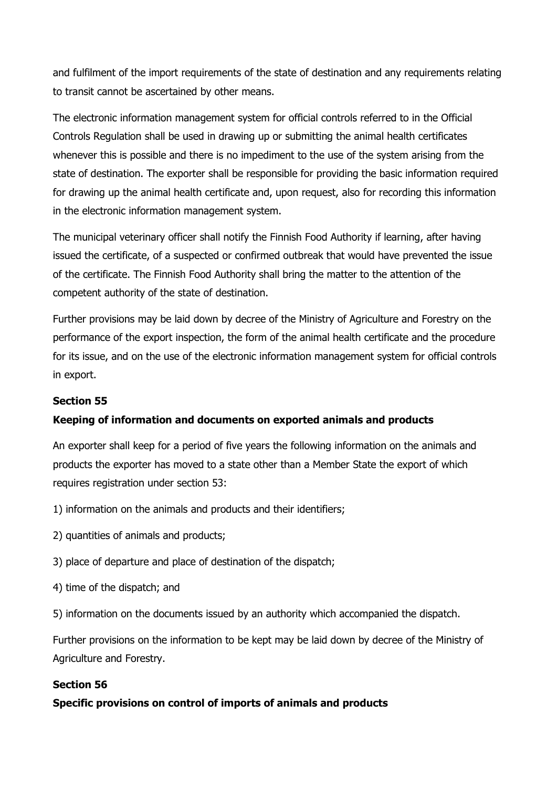and fulfilment of the import requirements of the state of destination and any requirements relating to transit cannot be ascertained by other means.

The electronic information management system for official controls referred to in the Official Controls Regulation shall be used in drawing up or submitting the animal health certificates whenever this is possible and there is no impediment to the use of the system arising from the state of destination. The exporter shall be responsible for providing the basic information required for drawing up the animal health certificate and, upon request, also for recording this information in the electronic information management system.

The municipal veterinary officer shall notify the Finnish Food Authority if learning, after having issued the certificate, of a suspected or confirmed outbreak that would have prevented the issue of the certificate. The Finnish Food Authority shall bring the matter to the attention of the competent authority of the state of destination.

Further provisions may be laid down by decree of the Ministry of Agriculture and Forestry on the performance of the export inspection, the form of the animal health certificate and the procedure for its issue, and on the use of the electronic information management system for official controls in export.

# Section 55

# Keeping of information and documents on exported animals and products

An exporter shall keep for a period of five years the following information on the animals and products the exporter has moved to a state other than a Member State the export of which requires registration under section 53:

- 1) information on the animals and products and their identifiers;
- 2) quantities of animals and products;
- 3) place of departure and place of destination of the dispatch;
- 4) time of the dispatch; and
- 5) information on the documents issued by an authority which accompanied the dispatch.

Further provisions on the information to be kept may be laid down by decree of the Ministry of Agriculture and Forestry.

# Section 56

Specific provisions on control of imports of animals and products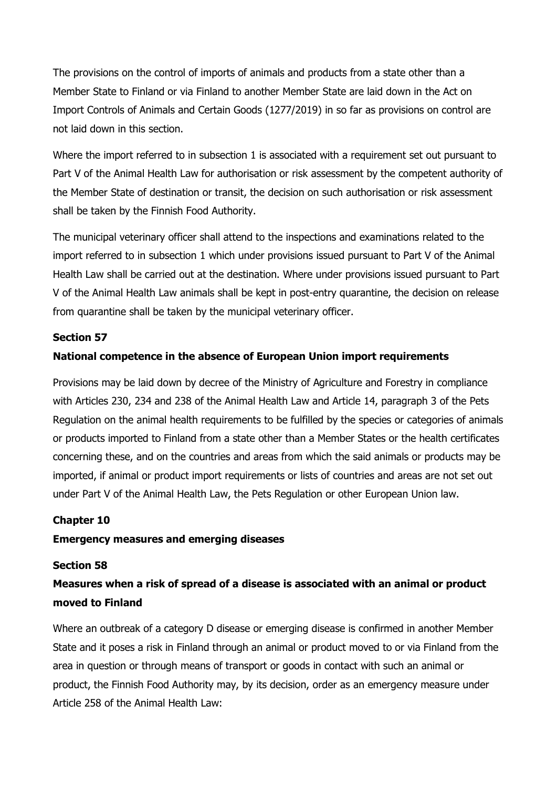The provisions on the control of imports of animals and products from a state other than a Member State to Finland or via Finland to another Member State are laid down in the Act on Import Controls of Animals and Certain Goods (1277/2019) in so far as provisions on control are not laid down in this section.

Where the import referred to in subsection 1 is associated with a requirement set out pursuant to Part V of the Animal Health Law for authorisation or risk assessment by the competent authority of the Member State of destination or transit, the decision on such authorisation or risk assessment shall be taken by the Finnish Food Authority.

The municipal veterinary officer shall attend to the inspections and examinations related to the import referred to in subsection 1 which under provisions issued pursuant to Part V of the Animal Health Law shall be carried out at the destination. Where under provisions issued pursuant to Part V of the Animal Health Law animals shall be kept in post-entry quarantine, the decision on release from quarantine shall be taken by the municipal veterinary officer.

## Section 57

# National competence in the absence of European Union import requirements

Provisions may be laid down by decree of the Ministry of Agriculture and Forestry in compliance with Articles 230, 234 and 238 of the Animal Health Law and Article 14, paragraph 3 of the Pets Regulation on the animal health requirements to be fulfilled by the species or categories of animals or products imported to Finland from a state other than a Member States or the health certificates concerning these, and on the countries and areas from which the said animals or products may be imported, if animal or product import requirements or lists of countries and areas are not set out under Part V of the Animal Health Law, the Pets Regulation or other European Union law.

### Chapter 10

#### Emergency measures and emerging diseases

#### Section 58

# Measures when a risk of spread of a disease is associated with an animal or product moved to Finland

Where an outbreak of a category D disease or emerging disease is confirmed in another Member State and it poses a risk in Finland through an animal or product moved to or via Finland from the area in question or through means of transport or goods in contact with such an animal or product, the Finnish Food Authority may, by its decision, order as an emergency measure under Article 258 of the Animal Health Law: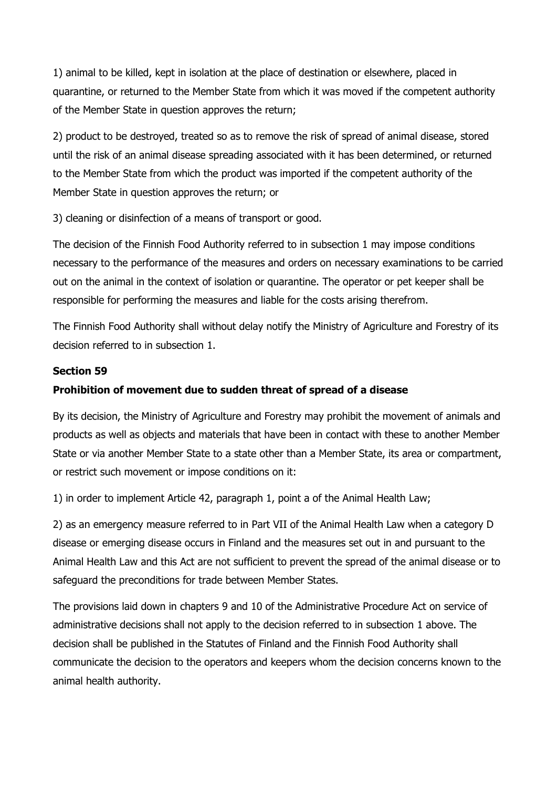1) animal to be killed, kept in isolation at the place of destination or elsewhere, placed in quarantine, or returned to the Member State from which it was moved if the competent authority of the Member State in question approves the return;

2) product to be destroyed, treated so as to remove the risk of spread of animal disease, stored until the risk of an animal disease spreading associated with it has been determined, or returned to the Member State from which the product was imported if the competent authority of the Member State in question approves the return; or

3) cleaning or disinfection of a means of transport or good.

The decision of the Finnish Food Authority referred to in subsection 1 may impose conditions necessary to the performance of the measures and orders on necessary examinations to be carried out on the animal in the context of isolation or quarantine. The operator or pet keeper shall be responsible for performing the measures and liable for the costs arising therefrom.

The Finnish Food Authority shall without delay notify the Ministry of Agriculture and Forestry of its decision referred to in subsection 1.

# Section 59

# Prohibition of movement due to sudden threat of spread of a disease

By its decision, the Ministry of Agriculture and Forestry may prohibit the movement of animals and products as well as objects and materials that have been in contact with these to another Member State or via another Member State to a state other than a Member State, its area or compartment, or restrict such movement or impose conditions on it:

1) in order to implement Article 42, paragraph 1, point a of the Animal Health Law;

2) as an emergency measure referred to in Part VII of the Animal Health Law when a category D disease or emerging disease occurs in Finland and the measures set out in and pursuant to the Animal Health Law and this Act are not sufficient to prevent the spread of the animal disease or to safeguard the preconditions for trade between Member States.

The provisions laid down in chapters 9 and 10 of the Administrative Procedure Act on service of administrative decisions shall not apply to the decision referred to in subsection 1 above. The decision shall be published in the Statutes of Finland and the Finnish Food Authority shall communicate the decision to the operators and keepers whom the decision concerns known to the animal health authority.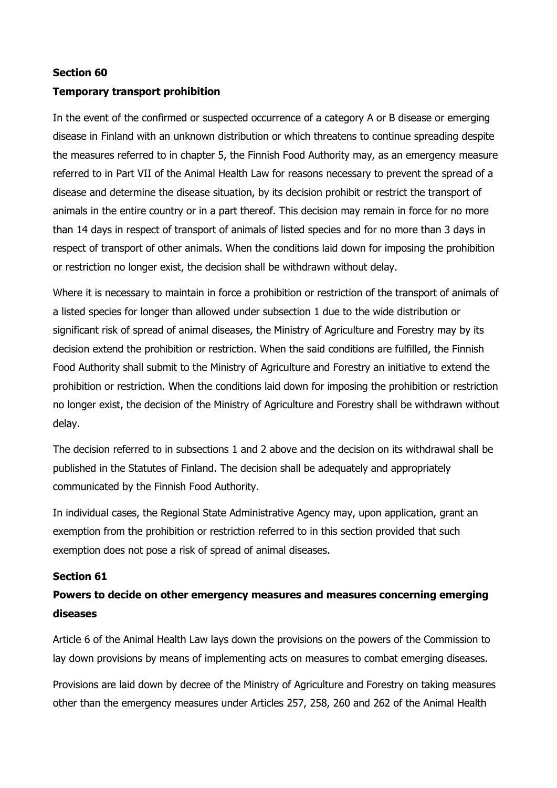## Section 60

## Temporary transport prohibition

In the event of the confirmed or suspected occurrence of a category A or B disease or emerging disease in Finland with an unknown distribution or which threatens to continue spreading despite the measures referred to in chapter 5, the Finnish Food Authority may, as an emergency measure referred to in Part VII of the Animal Health Law for reasons necessary to prevent the spread of a disease and determine the disease situation, by its decision prohibit or restrict the transport of animals in the entire country or in a part thereof. This decision may remain in force for no more than 14 days in respect of transport of animals of listed species and for no more than 3 days in respect of transport of other animals. When the conditions laid down for imposing the prohibition or restriction no longer exist, the decision shall be withdrawn without delay.

Where it is necessary to maintain in force a prohibition or restriction of the transport of animals of a listed species for longer than allowed under subsection 1 due to the wide distribution or significant risk of spread of animal diseases, the Ministry of Agriculture and Forestry may by its decision extend the prohibition or restriction. When the said conditions are fulfilled, the Finnish Food Authority shall submit to the Ministry of Agriculture and Forestry an initiative to extend the prohibition or restriction. When the conditions laid down for imposing the prohibition or restriction no longer exist, the decision of the Ministry of Agriculture and Forestry shall be withdrawn without delay.

The decision referred to in subsections 1 and 2 above and the decision on its withdrawal shall be published in the Statutes of Finland. The decision shall be adequately and appropriately communicated by the Finnish Food Authority.

In individual cases, the Regional State Administrative Agency may, upon application, grant an exemption from the prohibition or restriction referred to in this section provided that such exemption does not pose a risk of spread of animal diseases.

### Section 61

# Powers to decide on other emergency measures and measures concerning emerging diseases

Article 6 of the Animal Health Law lays down the provisions on the powers of the Commission to lay down provisions by means of implementing acts on measures to combat emerging diseases.

Provisions are laid down by decree of the Ministry of Agriculture and Forestry on taking measures other than the emergency measures under Articles 257, 258, 260 and 262 of the Animal Health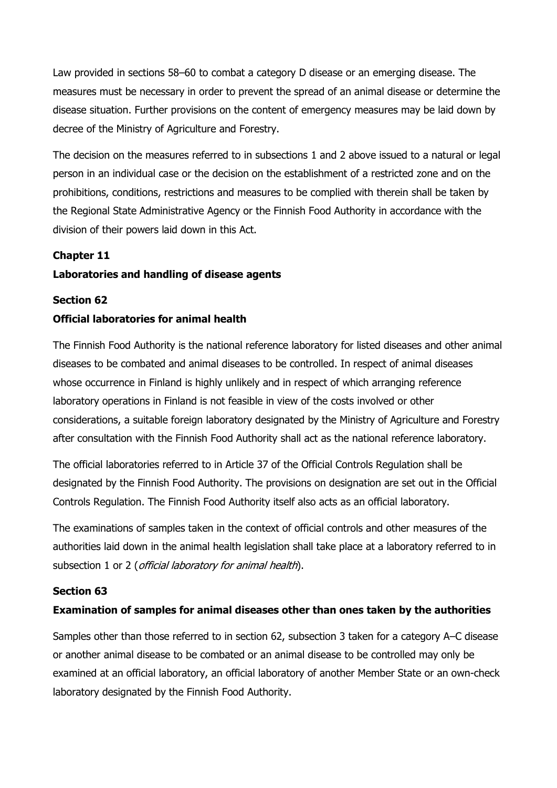Law provided in sections 58–60 to combat a category D disease or an emerging disease. The measures must be necessary in order to prevent the spread of an animal disease or determine the disease situation. Further provisions on the content of emergency measures may be laid down by decree of the Ministry of Agriculture and Forestry.

The decision on the measures referred to in subsections 1 and 2 above issued to a natural or legal person in an individual case or the decision on the establishment of a restricted zone and on the prohibitions, conditions, restrictions and measures to be complied with therein shall be taken by the Regional State Administrative Agency or the Finnish Food Authority in accordance with the division of their powers laid down in this Act.

### Chapter 11

# Laboratories and handling of disease agents

#### Section 62

### Official laboratories for animal health

The Finnish Food Authority is the national reference laboratory for listed diseases and other animal diseases to be combated and animal diseases to be controlled. In respect of animal diseases whose occurrence in Finland is highly unlikely and in respect of which arranging reference laboratory operations in Finland is not feasible in view of the costs involved or other considerations, a suitable foreign laboratory designated by the Ministry of Agriculture and Forestry after consultation with the Finnish Food Authority shall act as the national reference laboratory.

The official laboratories referred to in Article 37 of the Official Controls Regulation shall be designated by the Finnish Food Authority. The provisions on designation are set out in the Official Controls Regulation. The Finnish Food Authority itself also acts as an official laboratory.

The examinations of samples taken in the context of official controls and other measures of the authorities laid down in the animal health legislation shall take place at a laboratory referred to in subsection 1 or 2 (*official laboratory for animal health*).

#### Section 63

### Examination of samples for animal diseases other than ones taken by the authorities

Samples other than those referred to in section 62, subsection 3 taken for a category A–C disease or another animal disease to be combated or an animal disease to be controlled may only be examined at an official laboratory, an official laboratory of another Member State or an own-check laboratory designated by the Finnish Food Authority.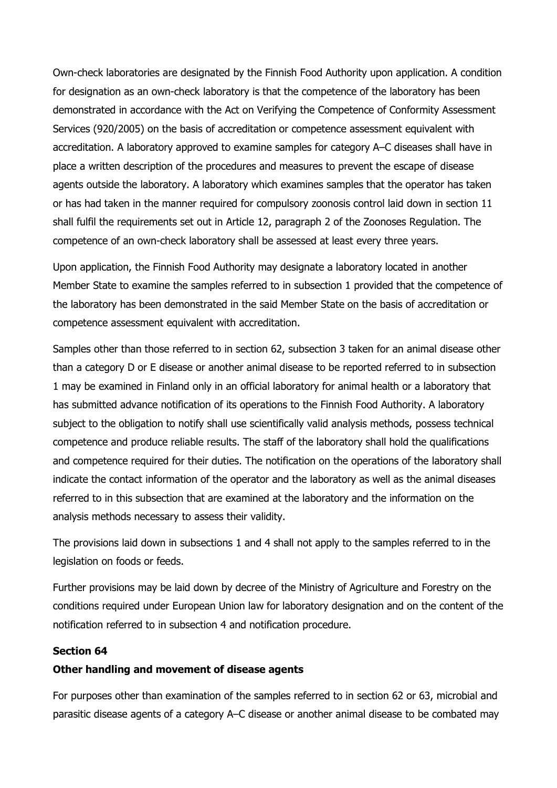Own-check laboratories are designated by the Finnish Food Authority upon application. A condition for designation as an own-check laboratory is that the competence of the laboratory has been demonstrated in accordance with the Act on Verifying the Competence of Conformity Assessment Services (920/2005) on the basis of accreditation or competence assessment equivalent with accreditation. A laboratory approved to examine samples for category A–C diseases shall have in place a written description of the procedures and measures to prevent the escape of disease agents outside the laboratory. A laboratory which examines samples that the operator has taken or has had taken in the manner required for compulsory zoonosis control laid down in section 11 shall fulfil the requirements set out in Article 12, paragraph 2 of the Zoonoses Regulation. The competence of an own-check laboratory shall be assessed at least every three years.

Upon application, the Finnish Food Authority may designate a laboratory located in another Member State to examine the samples referred to in subsection 1 provided that the competence of the laboratory has been demonstrated in the said Member State on the basis of accreditation or competence assessment equivalent with accreditation.

Samples other than those referred to in section 62, subsection 3 taken for an animal disease other than a category D or E disease or another animal disease to be reported referred to in subsection 1 may be examined in Finland only in an official laboratory for animal health or a laboratory that has submitted advance notification of its operations to the Finnish Food Authority. A laboratory subject to the obligation to notify shall use scientifically valid analysis methods, possess technical competence and produce reliable results. The staff of the laboratory shall hold the qualifications and competence required for their duties. The notification on the operations of the laboratory shall indicate the contact information of the operator and the laboratory as well as the animal diseases referred to in this subsection that are examined at the laboratory and the information on the analysis methods necessary to assess their validity.

The provisions laid down in subsections 1 and 4 shall not apply to the samples referred to in the legislation on foods or feeds.

Further provisions may be laid down by decree of the Ministry of Agriculture and Forestry on the conditions required under European Union law for laboratory designation and on the content of the notification referred to in subsection 4 and notification procedure.

#### Section 64

#### Other handling and movement of disease agents

For purposes other than examination of the samples referred to in section 62 or 63, microbial and parasitic disease agents of a category A–C disease or another animal disease to be combated may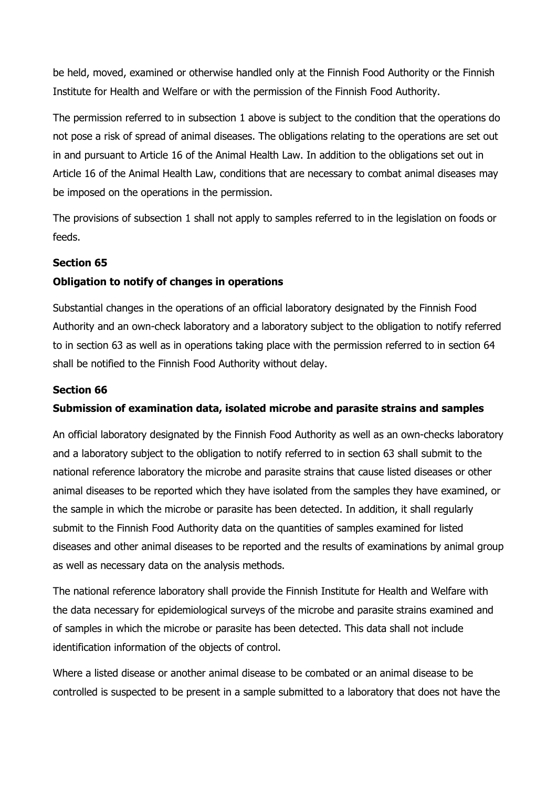be held, moved, examined or otherwise handled only at the Finnish Food Authority or the Finnish Institute for Health and Welfare or with the permission of the Finnish Food Authority.

The permission referred to in subsection 1 above is subject to the condition that the operations do not pose a risk of spread of animal diseases. The obligations relating to the operations are set out in and pursuant to Article 16 of the Animal Health Law. In addition to the obligations set out in Article 16 of the Animal Health Law, conditions that are necessary to combat animal diseases may be imposed on the operations in the permission.

The provisions of subsection 1 shall not apply to samples referred to in the legislation on foods or feeds.

## Section 65

# Obligation to notify of changes in operations

Substantial changes in the operations of an official laboratory designated by the Finnish Food Authority and an own-check laboratory and a laboratory subject to the obligation to notify referred to in section 63 as well as in operations taking place with the permission referred to in section 64 shall be notified to the Finnish Food Authority without delay.

## Section 66

### Submission of examination data, isolated microbe and parasite strains and samples

An official laboratory designated by the Finnish Food Authority as well as an own-checks laboratory and a laboratory subject to the obligation to notify referred to in section 63 shall submit to the national reference laboratory the microbe and parasite strains that cause listed diseases or other animal diseases to be reported which they have isolated from the samples they have examined, or the sample in which the microbe or parasite has been detected. In addition, it shall regularly submit to the Finnish Food Authority data on the quantities of samples examined for listed diseases and other animal diseases to be reported and the results of examinations by animal group as well as necessary data on the analysis methods.

The national reference laboratory shall provide the Finnish Institute for Health and Welfare with the data necessary for epidemiological surveys of the microbe and parasite strains examined and of samples in which the microbe or parasite has been detected. This data shall not include identification information of the objects of control.

Where a listed disease or another animal disease to be combated or an animal disease to be controlled is suspected to be present in a sample submitted to a laboratory that does not have the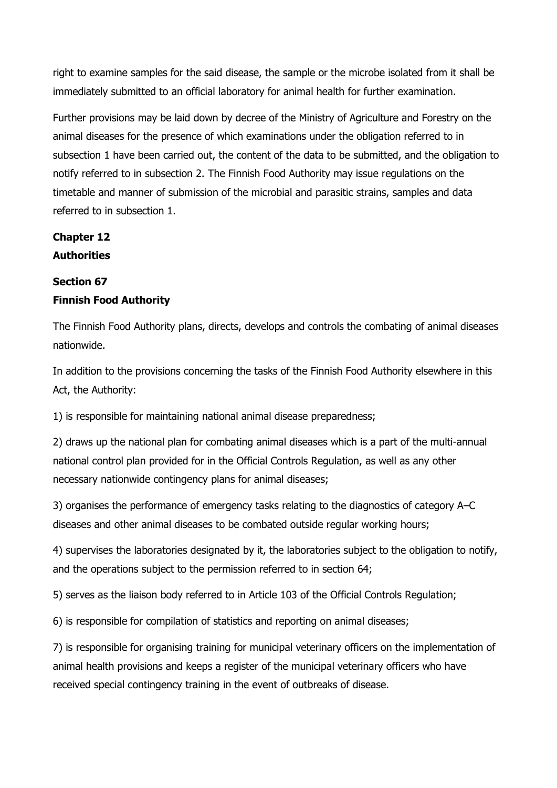right to examine samples for the said disease, the sample or the microbe isolated from it shall be immediately submitted to an official laboratory for animal health for further examination.

Further provisions may be laid down by decree of the Ministry of Agriculture and Forestry on the animal diseases for the presence of which examinations under the obligation referred to in subsection 1 have been carried out, the content of the data to be submitted, and the obligation to notify referred to in subsection 2. The Finnish Food Authority may issue regulations on the timetable and manner of submission of the microbial and parasitic strains, samples and data referred to in subsection 1.

# Chapter 12 **Authorities**

# Section 67 Finnish Food Authority

The Finnish Food Authority plans, directs, develops and controls the combating of animal diseases nationwide.

In addition to the provisions concerning the tasks of the Finnish Food Authority elsewhere in this Act, the Authority:

1) is responsible for maintaining national animal disease preparedness;

2) draws up the national plan for combating animal diseases which is a part of the multi-annual national control plan provided for in the Official Controls Regulation, as well as any other necessary nationwide contingency plans for animal diseases;

3) organises the performance of emergency tasks relating to the diagnostics of category A–C diseases and other animal diseases to be combated outside regular working hours;

4) supervises the laboratories designated by it, the laboratories subject to the obligation to notify, and the operations subject to the permission referred to in section 64;

5) serves as the liaison body referred to in Article 103 of the Official Controls Regulation;

6) is responsible for compilation of statistics and reporting on animal diseases;

7) is responsible for organising training for municipal veterinary officers on the implementation of animal health provisions and keeps a register of the municipal veterinary officers who have received special contingency training in the event of outbreaks of disease.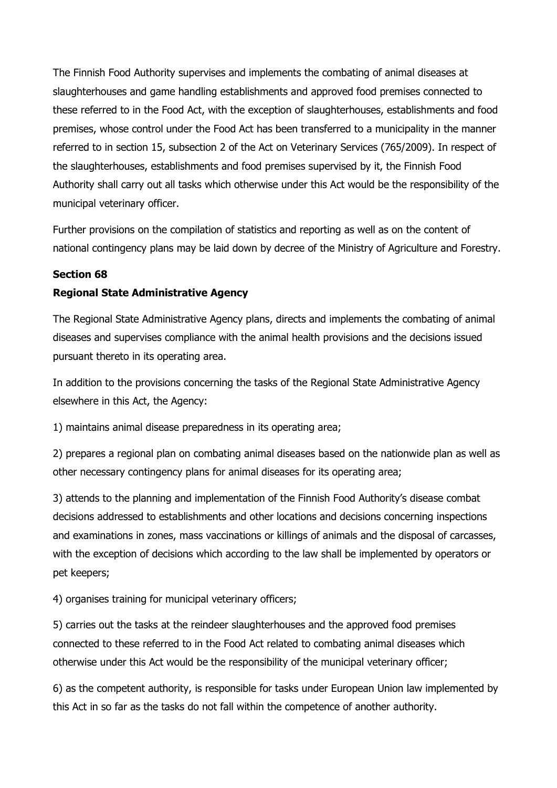The Finnish Food Authority supervises and implements the combating of animal diseases at slaughterhouses and game handling establishments and approved food premises connected to these referred to in the Food Act, with the exception of slaughterhouses, establishments and food premises, whose control under the Food Act has been transferred to a municipality in the manner referred to in section 15, subsection 2 of the Act on Veterinary Services (765/2009). In respect of the slaughterhouses, establishments and food premises supervised by it, the Finnish Food Authority shall carry out all tasks which otherwise under this Act would be the responsibility of the municipal veterinary officer.

Further provisions on the compilation of statistics and reporting as well as on the content of national contingency plans may be laid down by decree of the Ministry of Agriculture and Forestry.

# Section 68

## Regional State Administrative Agency

The Regional State Administrative Agency plans, directs and implements the combating of animal diseases and supervises compliance with the animal health provisions and the decisions issued pursuant thereto in its operating area.

In addition to the provisions concerning the tasks of the Regional State Administrative Agency elsewhere in this Act, the Agency:

1) maintains animal disease preparedness in its operating area;

2) prepares a regional plan on combating animal diseases based on the nationwide plan as well as other necessary contingency plans for animal diseases for its operating area;

3) attends to the planning and implementation of the Finnish Food Authority's disease combat decisions addressed to establishments and other locations and decisions concerning inspections and examinations in zones, mass vaccinations or killings of animals and the disposal of carcasses, with the exception of decisions which according to the law shall be implemented by operators or pet keepers;

4) organises training for municipal veterinary officers;

5) carries out the tasks at the reindeer slaughterhouses and the approved food premises connected to these referred to in the Food Act related to combating animal diseases which otherwise under this Act would be the responsibility of the municipal veterinary officer;

6) as the competent authority, is responsible for tasks under European Union law implemented by this Act in so far as the tasks do not fall within the competence of another authority.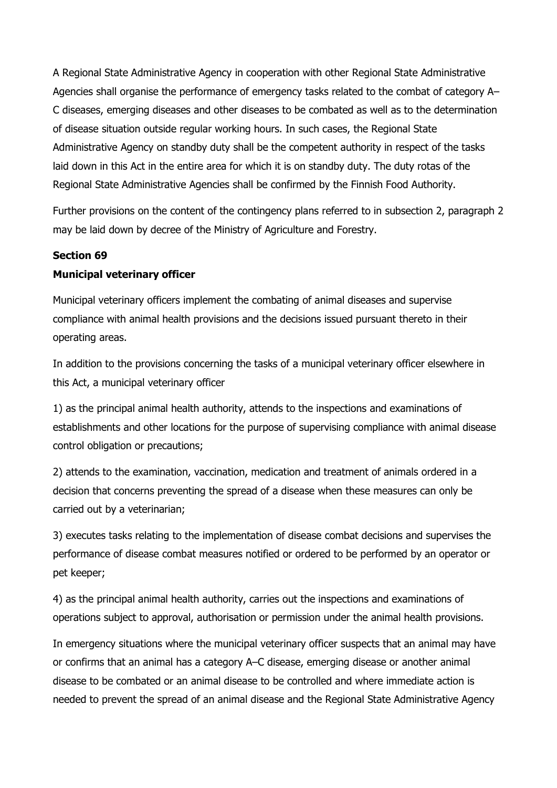A Regional State Administrative Agency in cooperation with other Regional State Administrative Agencies shall organise the performance of emergency tasks related to the combat of category A– C diseases, emerging diseases and other diseases to be combated as well as to the determination of disease situation outside regular working hours. In such cases, the Regional State Administrative Agency on standby duty shall be the competent authority in respect of the tasks laid down in this Act in the entire area for which it is on standby duty. The duty rotas of the Regional State Administrative Agencies shall be confirmed by the Finnish Food Authority.

Further provisions on the content of the contingency plans referred to in subsection 2, paragraph 2 may be laid down by decree of the Ministry of Agriculture and Forestry.

# Section 69 Municipal veterinary officer

Municipal veterinary officers implement the combating of animal diseases and supervise compliance with animal health provisions and the decisions issued pursuant thereto in their operating areas.

In addition to the provisions concerning the tasks of a municipal veterinary officer elsewhere in this Act, a municipal veterinary officer

1) as the principal animal health authority, attends to the inspections and examinations of establishments and other locations for the purpose of supervising compliance with animal disease control obligation or precautions;

2) attends to the examination, vaccination, medication and treatment of animals ordered in a decision that concerns preventing the spread of a disease when these measures can only be carried out by a veterinarian;

3) executes tasks relating to the implementation of disease combat decisions and supervises the performance of disease combat measures notified or ordered to be performed by an operator or pet keeper;

4) as the principal animal health authority, carries out the inspections and examinations of operations subject to approval, authorisation or permission under the animal health provisions.

In emergency situations where the municipal veterinary officer suspects that an animal may have or confirms that an animal has a category A–C disease, emerging disease or another animal disease to be combated or an animal disease to be controlled and where immediate action is needed to prevent the spread of an animal disease and the Regional State Administrative Agency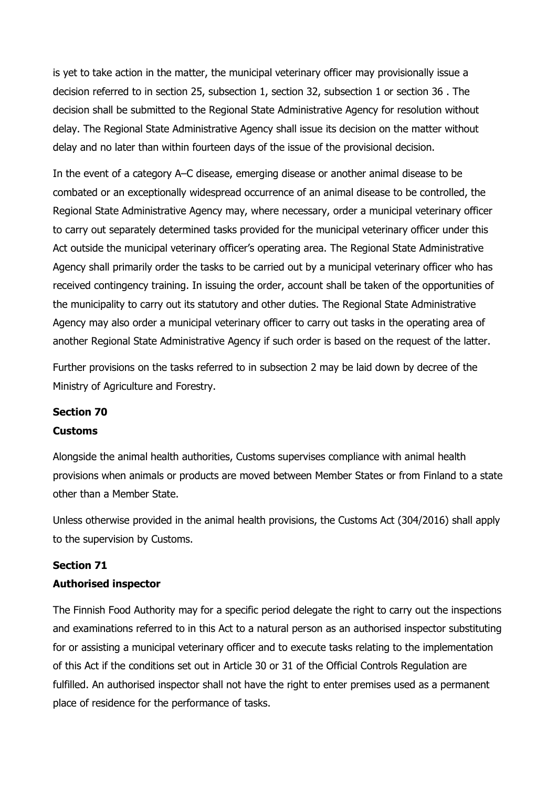is yet to take action in the matter, the municipal veterinary officer may provisionally issue a decision referred to in section 25, subsection 1, section 32, subsection 1 or section 36 . The decision shall be submitted to the Regional State Administrative Agency for resolution without delay. The Regional State Administrative Agency shall issue its decision on the matter without delay and no later than within fourteen days of the issue of the provisional decision.

In the event of a category A–C disease, emerging disease or another animal disease to be combated or an exceptionally widespread occurrence of an animal disease to be controlled, the Regional State Administrative Agency may, where necessary, order a municipal veterinary officer to carry out separately determined tasks provided for the municipal veterinary officer under this Act outside the municipal veterinary officer's operating area. The Regional State Administrative Agency shall primarily order the tasks to be carried out by a municipal veterinary officer who has received contingency training. In issuing the order, account shall be taken of the opportunities of the municipality to carry out its statutory and other duties. The Regional State Administrative Agency may also order a municipal veterinary officer to carry out tasks in the operating area of another Regional State Administrative Agency if such order is based on the request of the latter.

Further provisions on the tasks referred to in subsection 2 may be laid down by decree of the Ministry of Agriculture and Forestry.

# Section 70

### Customs

Alongside the animal health authorities, Customs supervises compliance with animal health provisions when animals or products are moved between Member States or from Finland to a state other than a Member State.

Unless otherwise provided in the animal health provisions, the Customs Act (304/2016) shall apply to the supervision by Customs.

# Section 71 Authorised inspector

The Finnish Food Authority may for a specific period delegate the right to carry out the inspections and examinations referred to in this Act to a natural person as an authorised inspector substituting for or assisting a municipal veterinary officer and to execute tasks relating to the implementation of this Act if the conditions set out in Article 30 or 31 of the Official Controls Regulation are fulfilled. An authorised inspector shall not have the right to enter premises used as a permanent place of residence for the performance of tasks.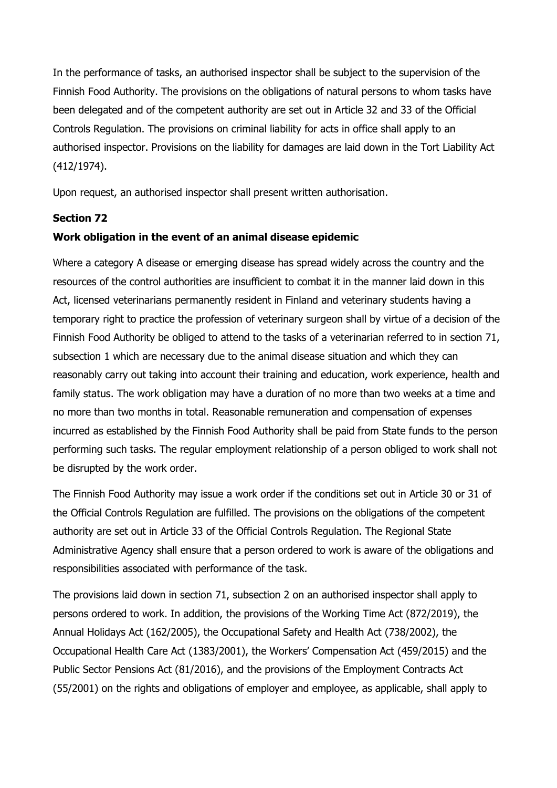In the performance of tasks, an authorised inspector shall be subject to the supervision of the Finnish Food Authority. The provisions on the obligations of natural persons to whom tasks have been delegated and of the competent authority are set out in Article 32 and 33 of the Official Controls Regulation. The provisions on criminal liability for acts in office shall apply to an authorised inspector. Provisions on the liability for damages are laid down in the Tort Liability Act (412/1974).

Upon request, an authorised inspector shall present written authorisation.

# Section 72

# Work obligation in the event of an animal disease epidemic

Where a category A disease or emerging disease has spread widely across the country and the resources of the control authorities are insufficient to combat it in the manner laid down in this Act, licensed veterinarians permanently resident in Finland and veterinary students having a temporary right to practice the profession of veterinary surgeon shall by virtue of a decision of the Finnish Food Authority be obliged to attend to the tasks of a veterinarian referred to in section 71, subsection 1 which are necessary due to the animal disease situation and which they can reasonably carry out taking into account their training and education, work experience, health and family status. The work obligation may have a duration of no more than two weeks at a time and no more than two months in total. Reasonable remuneration and compensation of expenses incurred as established by the Finnish Food Authority shall be paid from State funds to the person performing such tasks. The regular employment relationship of a person obliged to work shall not be disrupted by the work order.

The Finnish Food Authority may issue a work order if the conditions set out in Article 30 or 31 of the Official Controls Regulation are fulfilled. The provisions on the obligations of the competent authority are set out in Article 33 of the Official Controls Regulation. The Regional State Administrative Agency shall ensure that a person ordered to work is aware of the obligations and responsibilities associated with performance of the task.

The provisions laid down in section 71, subsection 2 on an authorised inspector shall apply to persons ordered to work. In addition, the provisions of the Working Time Act (872/2019), the Annual Holidays Act (162/2005), the Occupational Safety and Health Act (738/2002), the Occupational Health Care Act (1383/2001), the Workers' Compensation Act (459/2015) and the Public Sector Pensions Act (81/2016), and the provisions of the Employment Contracts Act (55/2001) on the rights and obligations of employer and employee, as applicable, shall apply to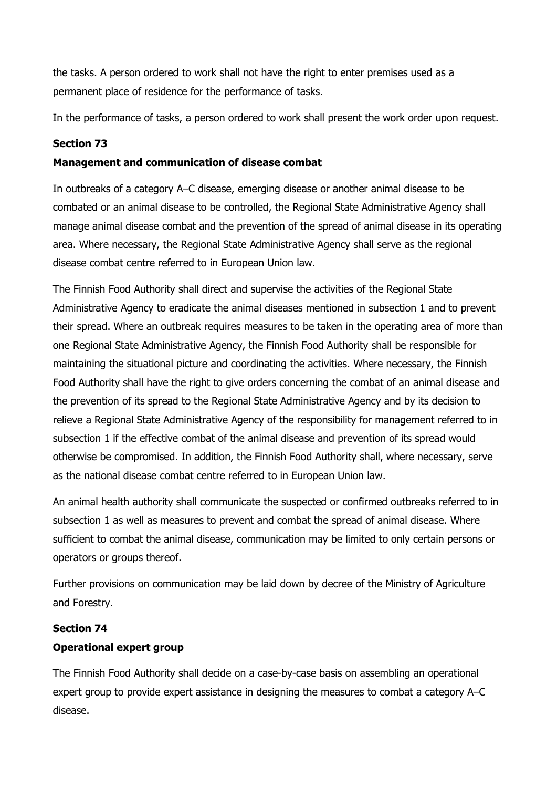the tasks. A person ordered to work shall not have the right to enter premises used as a permanent place of residence for the performance of tasks.

In the performance of tasks, a person ordered to work shall present the work order upon request.

# Section 73

## Management and communication of disease combat

In outbreaks of a category A–C disease, emerging disease or another animal disease to be combated or an animal disease to be controlled, the Regional State Administrative Agency shall manage animal disease combat and the prevention of the spread of animal disease in its operating area. Where necessary, the Regional State Administrative Agency shall serve as the regional disease combat centre referred to in European Union law.

The Finnish Food Authority shall direct and supervise the activities of the Regional State Administrative Agency to eradicate the animal diseases mentioned in subsection 1 and to prevent their spread. Where an outbreak requires measures to be taken in the operating area of more than one Regional State Administrative Agency, the Finnish Food Authority shall be responsible for maintaining the situational picture and coordinating the activities. Where necessary, the Finnish Food Authority shall have the right to give orders concerning the combat of an animal disease and the prevention of its spread to the Regional State Administrative Agency and by its decision to relieve a Regional State Administrative Agency of the responsibility for management referred to in subsection 1 if the effective combat of the animal disease and prevention of its spread would otherwise be compromised. In addition, the Finnish Food Authority shall, where necessary, serve as the national disease combat centre referred to in European Union law.

An animal health authority shall communicate the suspected or confirmed outbreaks referred to in subsection 1 as well as measures to prevent and combat the spread of animal disease. Where sufficient to combat the animal disease, communication may be limited to only certain persons or operators or groups thereof.

Further provisions on communication may be laid down by decree of the Ministry of Agriculture and Forestry.

### Section 74

# Operational expert group

The Finnish Food Authority shall decide on a case-by-case basis on assembling an operational expert group to provide expert assistance in designing the measures to combat a category A–C disease.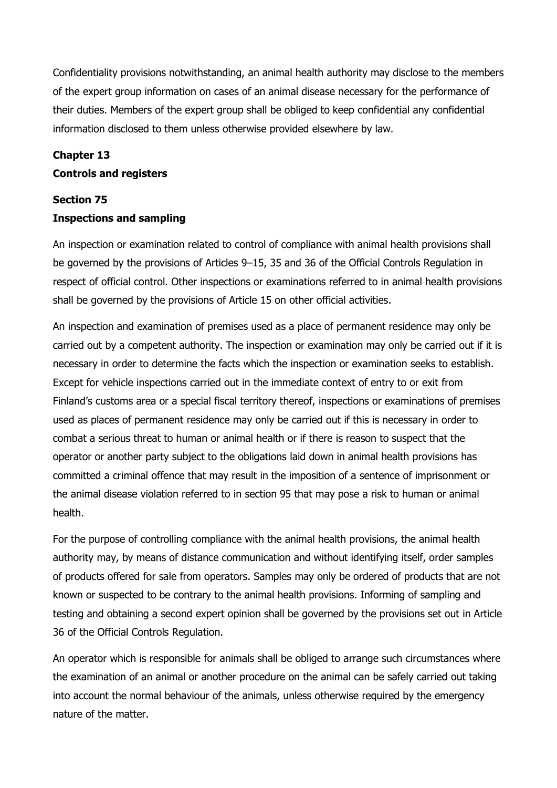Confidentiality provisions notwithstanding, an animal health authority may disclose to the members of the expert group information on cases of an animal disease necessary for the performance of their duties. Members of the expert group shall be obliged to keep confidential any confidential information disclosed to them unless otherwise provided elsewhere by law.

## Chapter 13

## Controls and registers

# Section 75 Inspections and sampling

An inspection or examination related to control of compliance with animal health provisions shall be governed by the provisions of Articles 9–15, 35 and 36 of the Official Controls Regulation in respect of official control. Other inspections or examinations referred to in animal health provisions shall be governed by the provisions of Article 15 on other official activities.

An inspection and examination of premises used as a place of permanent residence may only be carried out by a competent authority. The inspection or examination may only be carried out if it is necessary in order to determine the facts which the inspection or examination seeks to establish. Except for vehicle inspections carried out in the immediate context of entry to or exit from Finland's customs area or a special fiscal territory thereof, inspections or examinations of premises used as places of permanent residence may only be carried out if this is necessary in order to combat a serious threat to human or animal health or if there is reason to suspect that the operator or another party subject to the obligations laid down in animal health provisions has committed a criminal offence that may result in the imposition of a sentence of imprisonment or the animal disease violation referred to in section 95 that may pose a risk to human or animal health.

For the purpose of controlling compliance with the animal health provisions, the animal health authority may, by means of distance communication and without identifying itself, order samples of products offered for sale from operators. Samples may only be ordered of products that are not known or suspected to be contrary to the animal health provisions. Informing of sampling and testing and obtaining a second expert opinion shall be governed by the provisions set out in Article 36 of the Official Controls Regulation.

An operator which is responsible for animals shall be obliged to arrange such circumstances where the examination of an animal or another procedure on the animal can be safely carried out taking into account the normal behaviour of the animals, unless otherwise required by the emergency nature of the matter.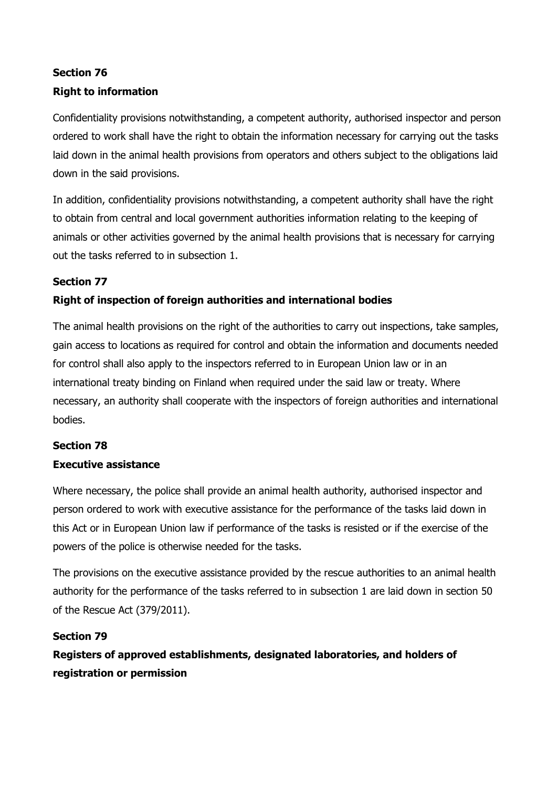# Section 76 Right to information

Confidentiality provisions notwithstanding, a competent authority, authorised inspector and person ordered to work shall have the right to obtain the information necessary for carrying out the tasks laid down in the animal health provisions from operators and others subject to the obligations laid down in the said provisions.

In addition, confidentiality provisions notwithstanding, a competent authority shall have the right to obtain from central and local government authorities information relating to the keeping of animals or other activities governed by the animal health provisions that is necessary for carrying out the tasks referred to in subsection 1.

# Section 77

# Right of inspection of foreign authorities and international bodies

The animal health provisions on the right of the authorities to carry out inspections, take samples, gain access to locations as required for control and obtain the information and documents needed for control shall also apply to the inspectors referred to in European Union law or in an international treaty binding on Finland when required under the said law or treaty. Where necessary, an authority shall cooperate with the inspectors of foreign authorities and international bodies.

# Section 78

# Executive assistance

Where necessary, the police shall provide an animal health authority, authorised inspector and person ordered to work with executive assistance for the performance of the tasks laid down in this Act or in European Union law if performance of the tasks is resisted or if the exercise of the powers of the police is otherwise needed for the tasks.

The provisions on the executive assistance provided by the rescue authorities to an animal health authority for the performance of the tasks referred to in subsection 1 are laid down in section 50 of the Rescue Act (379/2011).

# Section 79

Registers of approved establishments, designated laboratories, and holders of registration or permission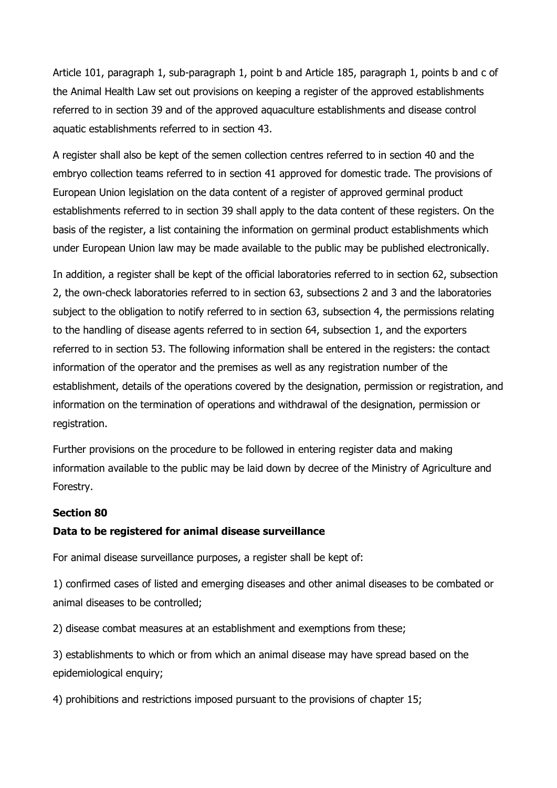Article 101, paragraph 1, sub-paragraph 1, point b and Article 185, paragraph 1, points b and c of the Animal Health Law set out provisions on keeping a register of the approved establishments referred to in section 39 and of the approved aquaculture establishments and disease control aquatic establishments referred to in section 43.

A register shall also be kept of the semen collection centres referred to in section 40 and the embryo collection teams referred to in section 41 approved for domestic trade. The provisions of European Union legislation on the data content of a register of approved germinal product establishments referred to in section 39 shall apply to the data content of these registers. On the basis of the register, a list containing the information on germinal product establishments which under European Union law may be made available to the public may be published electronically.

In addition, a register shall be kept of the official laboratories referred to in section 62, subsection 2, the own-check laboratories referred to in section 63, subsections 2 and 3 and the laboratories subject to the obligation to notify referred to in section 63, subsection 4, the permissions relating to the handling of disease agents referred to in section 64, subsection 1, and the exporters referred to in section 53. The following information shall be entered in the registers: the contact information of the operator and the premises as well as any registration number of the establishment, details of the operations covered by the designation, permission or registration, and information on the termination of operations and withdrawal of the designation, permission or registration.

Further provisions on the procedure to be followed in entering register data and making information available to the public may be laid down by decree of the Ministry of Agriculture and Forestry.

#### Section 80

#### Data to be registered for animal disease surveillance

For animal disease surveillance purposes, a register shall be kept of:

1) confirmed cases of listed and emerging diseases and other animal diseases to be combated or animal diseases to be controlled;

2) disease combat measures at an establishment and exemptions from these;

3) establishments to which or from which an animal disease may have spread based on the epidemiological enquiry;

4) prohibitions and restrictions imposed pursuant to the provisions of chapter 15;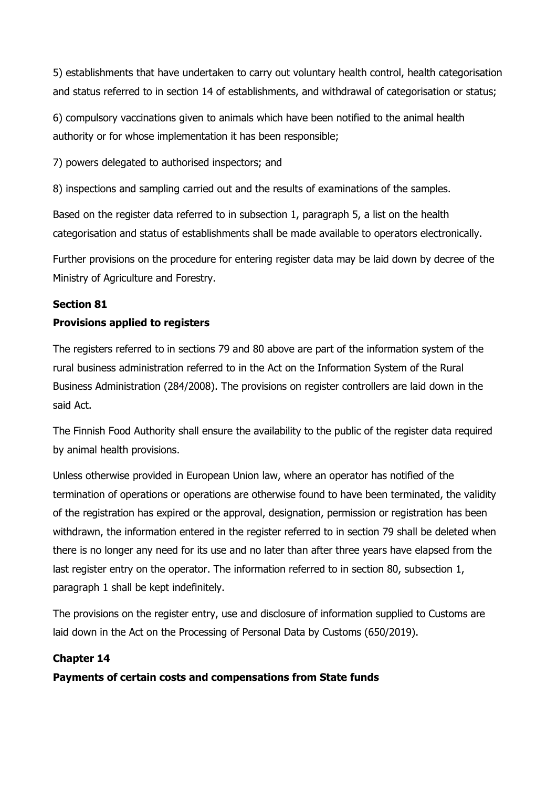5) establishments that have undertaken to carry out voluntary health control, health categorisation and status referred to in section 14 of establishments, and withdrawal of categorisation or status;

6) compulsory vaccinations given to animals which have been notified to the animal health authority or for whose implementation it has been responsible;

7) powers delegated to authorised inspectors; and

8) inspections and sampling carried out and the results of examinations of the samples.

Based on the register data referred to in subsection 1, paragraph 5, a list on the health categorisation and status of establishments shall be made available to operators electronically.

Further provisions on the procedure for entering register data may be laid down by decree of the Ministry of Agriculture and Forestry.

# Section 81

# Provisions applied to registers

The registers referred to in sections 79 and 80 above are part of the information system of the rural business administration referred to in the Act on the Information System of the Rural Business Administration (284/2008). The provisions on register controllers are laid down in the said Act.

The Finnish Food Authority shall ensure the availability to the public of the register data required by animal health provisions.

Unless otherwise provided in European Union law, where an operator has notified of the termination of operations or operations are otherwise found to have been terminated, the validity of the registration has expired or the approval, designation, permission or registration has been withdrawn, the information entered in the register referred to in section 79 shall be deleted when there is no longer any need for its use and no later than after three years have elapsed from the last register entry on the operator. The information referred to in section 80, subsection 1, paragraph 1 shall be kept indefinitely.

The provisions on the register entry, use and disclosure of information supplied to Customs are laid down in the Act on the Processing of Personal Data by Customs (650/2019).

# Chapter 14

Payments of certain costs and compensations from State funds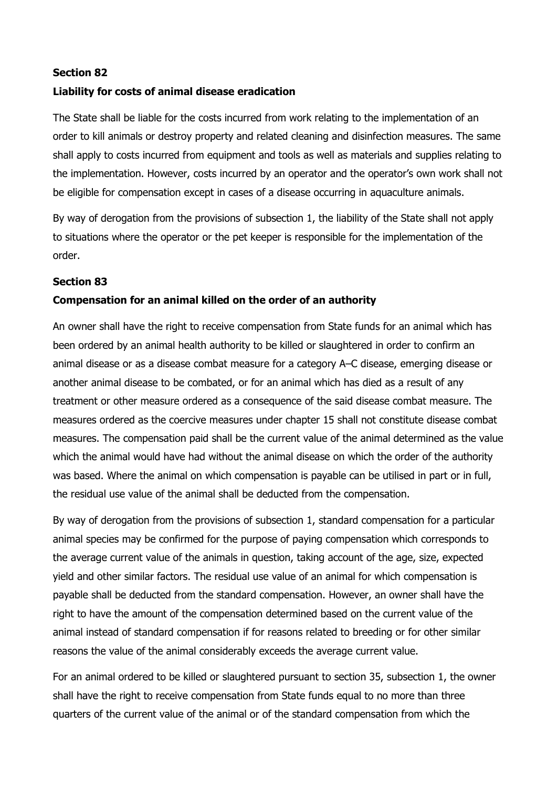## Section 82

# Liability for costs of animal disease eradication

The State shall be liable for the costs incurred from work relating to the implementation of an order to kill animals or destroy property and related cleaning and disinfection measures. The same shall apply to costs incurred from equipment and tools as well as materials and supplies relating to the implementation. However, costs incurred by an operator and the operator's own work shall not be eligible for compensation except in cases of a disease occurring in aquaculture animals.

By way of derogation from the provisions of subsection 1, the liability of the State shall not apply to situations where the operator or the pet keeper is responsible for the implementation of the order.

### Section 83

### Compensation for an animal killed on the order of an authority

An owner shall have the right to receive compensation from State funds for an animal which has been ordered by an animal health authority to be killed or slaughtered in order to confirm an animal disease or as a disease combat measure for a category A–C disease, emerging disease or another animal disease to be combated, or for an animal which has died as a result of any treatment or other measure ordered as a consequence of the said disease combat measure. The measures ordered as the coercive measures under chapter 15 shall not constitute disease combat measures. The compensation paid shall be the current value of the animal determined as the value which the animal would have had without the animal disease on which the order of the authority was based. Where the animal on which compensation is payable can be utilised in part or in full, the residual use value of the animal shall be deducted from the compensation.

By way of derogation from the provisions of subsection 1, standard compensation for a particular animal species may be confirmed for the purpose of paying compensation which corresponds to the average current value of the animals in question, taking account of the age, size, expected yield and other similar factors. The residual use value of an animal for which compensation is payable shall be deducted from the standard compensation. However, an owner shall have the right to have the amount of the compensation determined based on the current value of the animal instead of standard compensation if for reasons related to breeding or for other similar reasons the value of the animal considerably exceeds the average current value.

For an animal ordered to be killed or slaughtered pursuant to section 35, subsection 1, the owner shall have the right to receive compensation from State funds equal to no more than three quarters of the current value of the animal or of the standard compensation from which the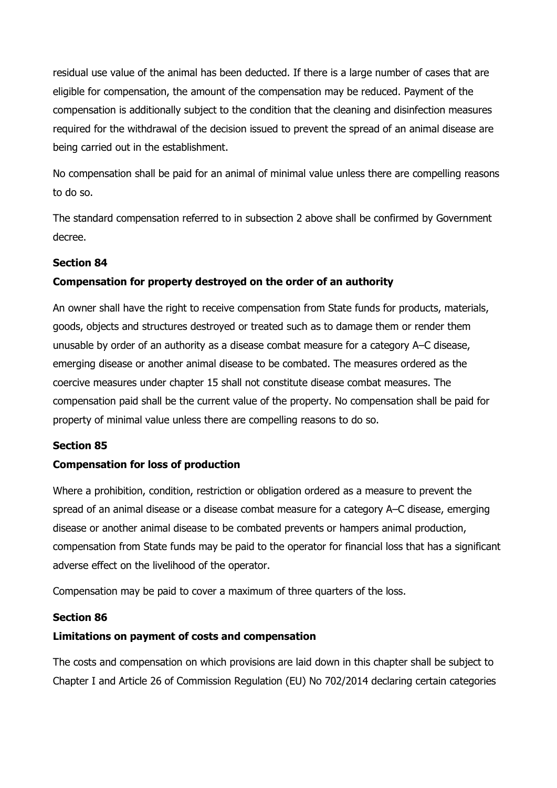residual use value of the animal has been deducted. If there is a large number of cases that are eligible for compensation, the amount of the compensation may be reduced. Payment of the compensation is additionally subject to the condition that the cleaning and disinfection measures required for the withdrawal of the decision issued to prevent the spread of an animal disease are being carried out in the establishment.

No compensation shall be paid for an animal of minimal value unless there are compelling reasons to do so.

The standard compensation referred to in subsection 2 above shall be confirmed by Government decree.

## Section 84

# Compensation for property destroyed on the order of an authority

An owner shall have the right to receive compensation from State funds for products, materials, goods, objects and structures destroyed or treated such as to damage them or render them unusable by order of an authority as a disease combat measure for a category A–C disease, emerging disease or another animal disease to be combated. The measures ordered as the coercive measures under chapter 15 shall not constitute disease combat measures. The compensation paid shall be the current value of the property. No compensation shall be paid for property of minimal value unless there are compelling reasons to do so.

### Section 85

### Compensation for loss of production

Where a prohibition, condition, restriction or obligation ordered as a measure to prevent the spread of an animal disease or a disease combat measure for a category A–C disease, emerging disease or another animal disease to be combated prevents or hampers animal production, compensation from State funds may be paid to the operator for financial loss that has a significant adverse effect on the livelihood of the operator.

Compensation may be paid to cover a maximum of three quarters of the loss.

### Section 86

### Limitations on payment of costs and compensation

The costs and compensation on which provisions are laid down in this chapter shall be subject to Chapter I and Article 26 of Commission Regulation (EU) No 702/2014 declaring certain categories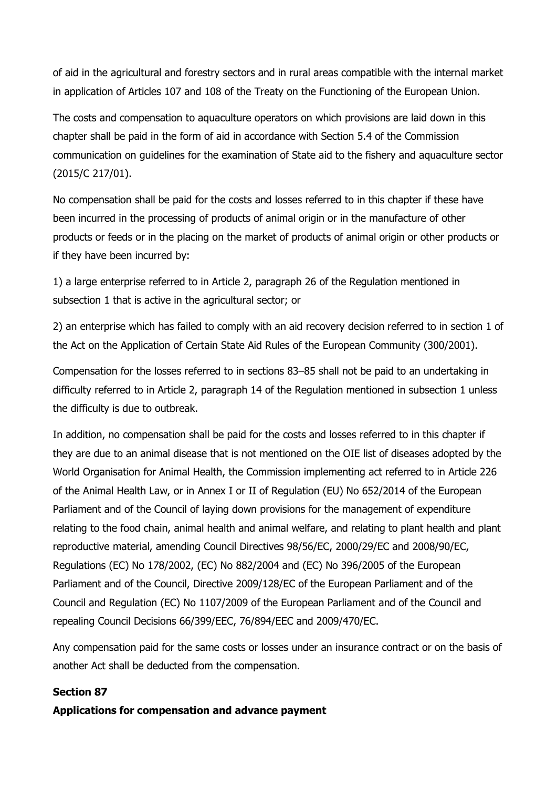of aid in the agricultural and forestry sectors and in rural areas compatible with the internal market in application of Articles 107 and 108 of the Treaty on the Functioning of the European Union.

The costs and compensation to aquaculture operators on which provisions are laid down in this chapter shall be paid in the form of aid in accordance with Section 5.4 of the Commission communication on guidelines for the examination of State aid to the fishery and aquaculture sector (2015/C 217/01).

No compensation shall be paid for the costs and losses referred to in this chapter if these have been incurred in the processing of products of animal origin or in the manufacture of other products or feeds or in the placing on the market of products of animal origin or other products or if they have been incurred by:

1) a large enterprise referred to in Article 2, paragraph 26 of the Regulation mentioned in subsection 1 that is active in the agricultural sector; or

2) an enterprise which has failed to comply with an aid recovery decision referred to in section 1 of the Act on the Application of Certain State Aid Rules of the European Community (300/2001).

Compensation for the losses referred to in sections 83–85 shall not be paid to an undertaking in difficulty referred to in Article 2, paragraph 14 of the Regulation mentioned in subsection 1 unless the difficulty is due to outbreak.

In addition, no compensation shall be paid for the costs and losses referred to in this chapter if they are due to an animal disease that is not mentioned on the OIE list of diseases adopted by the World Organisation for Animal Health, the Commission implementing act referred to in Article 226 of the Animal Health Law, or in Annex I or II of Regulation (EU) No 652/2014 of the European Parliament and of the Council of laying down provisions for the management of expenditure relating to the food chain, animal health and animal welfare, and relating to plant health and plant reproductive material, amending Council Directives 98/56/EC, 2000/29/EC and 2008/90/EC, Regulations (EC) No 178/2002, (EC) No 882/2004 and (EC) No 396/2005 of the European Parliament and of the Council, Directive 2009/128/EC of the European Parliament and of the Council and Regulation (EC) No 1107/2009 of the European Parliament and of the Council and repealing Council Decisions 66/399/EEC, 76/894/EEC and 2009/470/EC.

Any compensation paid for the same costs or losses under an insurance contract or on the basis of another Act shall be deducted from the compensation.

## Section 87

Applications for compensation and advance payment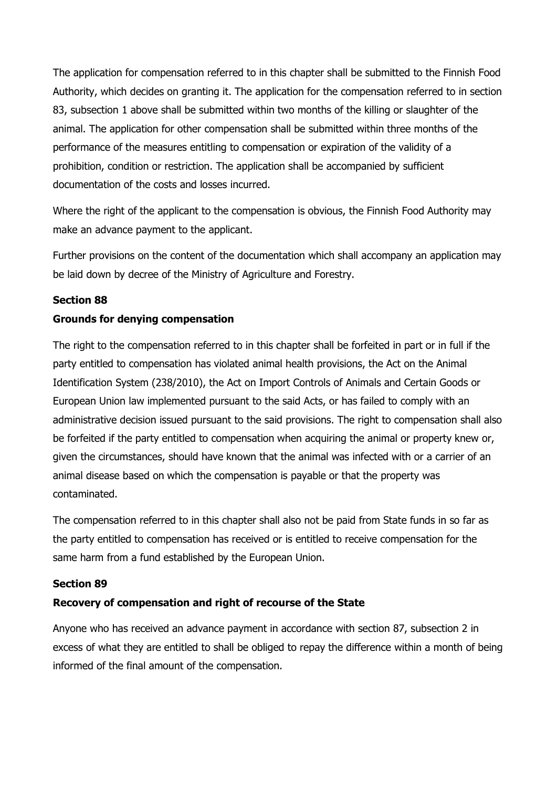The application for compensation referred to in this chapter shall be submitted to the Finnish Food Authority, which decides on granting it. The application for the compensation referred to in section 83, subsection 1 above shall be submitted within two months of the killing or slaughter of the animal. The application for other compensation shall be submitted within three months of the performance of the measures entitling to compensation or expiration of the validity of a prohibition, condition or restriction. The application shall be accompanied by sufficient documentation of the costs and losses incurred.

Where the right of the applicant to the compensation is obvious, the Finnish Food Authority may make an advance payment to the applicant.

Further provisions on the content of the documentation which shall accompany an application may be laid down by decree of the Ministry of Agriculture and Forestry.

## Section 88

## Grounds for denying compensation

The right to the compensation referred to in this chapter shall be forfeited in part or in full if the party entitled to compensation has violated animal health provisions, the Act on the Animal Identification System (238/2010), the Act on Import Controls of Animals and Certain Goods or European Union law implemented pursuant to the said Acts, or has failed to comply with an administrative decision issued pursuant to the said provisions. The right to compensation shall also be forfeited if the party entitled to compensation when acquiring the animal or property knew or, given the circumstances, should have known that the animal was infected with or a carrier of an animal disease based on which the compensation is payable or that the property was contaminated.

The compensation referred to in this chapter shall also not be paid from State funds in so far as the party entitled to compensation has received or is entitled to receive compensation for the same harm from a fund established by the European Union.

### Section 89

# Recovery of compensation and right of recourse of the State

Anyone who has received an advance payment in accordance with section 87, subsection 2 in excess of what they are entitled to shall be obliged to repay the difference within a month of being informed of the final amount of the compensation.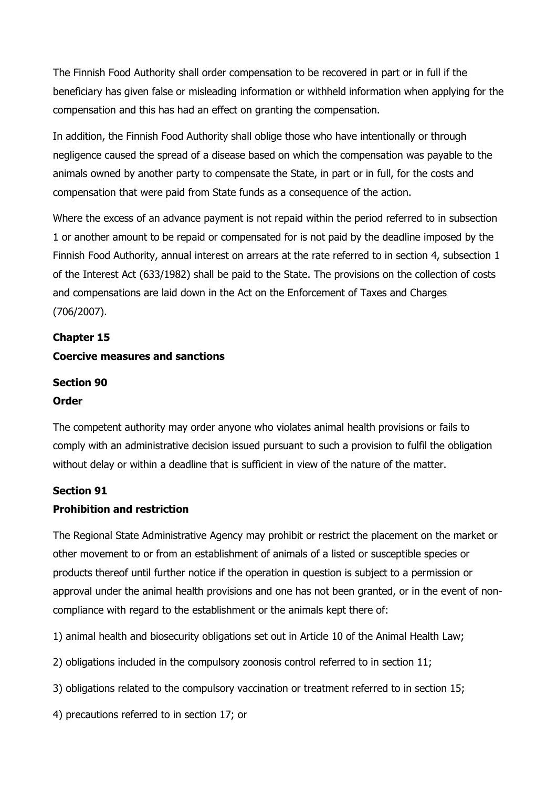The Finnish Food Authority shall order compensation to be recovered in part or in full if the beneficiary has given false or misleading information or withheld information when applying for the compensation and this has had an effect on granting the compensation.

In addition, the Finnish Food Authority shall oblige those who have intentionally or through negligence caused the spread of a disease based on which the compensation was payable to the animals owned by another party to compensate the State, in part or in full, for the costs and compensation that were paid from State funds as a consequence of the action.

Where the excess of an advance payment is not repaid within the period referred to in subsection 1 or another amount to be repaid or compensated for is not paid by the deadline imposed by the Finnish Food Authority, annual interest on arrears at the rate referred to in section 4, subsection 1 of the Interest Act (633/1982) shall be paid to the State. The provisions on the collection of costs and compensations are laid down in the Act on the Enforcement of Taxes and Charges (706/2007).

# Chapter 15

# Coercive measures and sanctions

# Section 90

### Order

The competent authority may order anyone who violates animal health provisions or fails to comply with an administrative decision issued pursuant to such a provision to fulfil the obligation without delay or within a deadline that is sufficient in view of the nature of the matter.

### Section 91

# Prohibition and restriction

The Regional State Administrative Agency may prohibit or restrict the placement on the market or other movement to or from an establishment of animals of a listed or susceptible species or products thereof until further notice if the operation in question is subject to a permission or approval under the animal health provisions and one has not been granted, or in the event of noncompliance with regard to the establishment or the animals kept there of:

1) animal health and biosecurity obligations set out in Article 10 of the Animal Health Law;

- 2) obligations included in the compulsory zoonosis control referred to in section 11;
- 3) obligations related to the compulsory vaccination or treatment referred to in section 15;
- 4) precautions referred to in section 17; or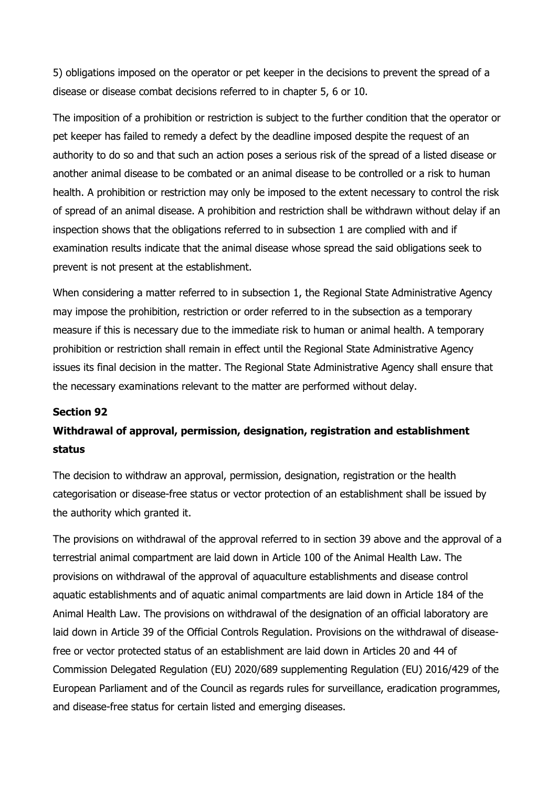5) obligations imposed on the operator or pet keeper in the decisions to prevent the spread of a disease or disease combat decisions referred to in chapter 5, 6 or 10.

The imposition of a prohibition or restriction is subject to the further condition that the operator or pet keeper has failed to remedy a defect by the deadline imposed despite the request of an authority to do so and that such an action poses a serious risk of the spread of a listed disease or another animal disease to be combated or an animal disease to be controlled or a risk to human health. A prohibition or restriction may only be imposed to the extent necessary to control the risk of spread of an animal disease. A prohibition and restriction shall be withdrawn without delay if an inspection shows that the obligations referred to in subsection 1 are complied with and if examination results indicate that the animal disease whose spread the said obligations seek to prevent is not present at the establishment.

When considering a matter referred to in subsection 1, the Regional State Administrative Agency may impose the prohibition, restriction or order referred to in the subsection as a temporary measure if this is necessary due to the immediate risk to human or animal health. A temporary prohibition or restriction shall remain in effect until the Regional State Administrative Agency issues its final decision in the matter. The Regional State Administrative Agency shall ensure that the necessary examinations relevant to the matter are performed without delay.

### Section 92

# Withdrawal of approval, permission, designation, registration and establishment status

The decision to withdraw an approval, permission, designation, registration or the health categorisation or disease-free status or vector protection of an establishment shall be issued by the authority which granted it.

The provisions on withdrawal of the approval referred to in section 39 above and the approval of a terrestrial animal compartment are laid down in Article 100 of the Animal Health Law. The provisions on withdrawal of the approval of aquaculture establishments and disease control aquatic establishments and of aquatic animal compartments are laid down in Article 184 of the Animal Health Law. The provisions on withdrawal of the designation of an official laboratory are laid down in Article 39 of the Official Controls Regulation. Provisions on the withdrawal of diseasefree or vector protected status of an establishment are laid down in Articles 20 and 44 of Commission Delegated Regulation (EU) 2020/689 supplementing Regulation (EU) 2016/429 of the European Parliament and of the Council as regards rules for surveillance, eradication programmes, and disease-free status for certain listed and emerging diseases.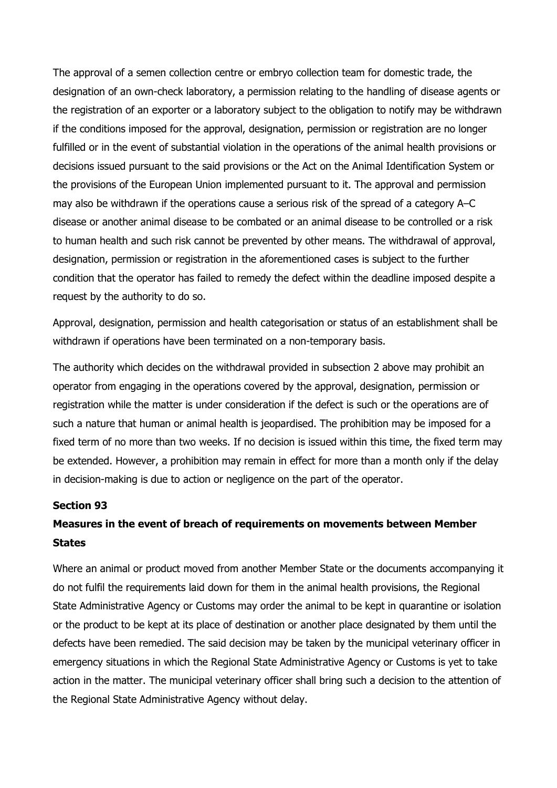The approval of a semen collection centre or embryo collection team for domestic trade, the designation of an own-check laboratory, a permission relating to the handling of disease agents or the registration of an exporter or a laboratory subject to the obligation to notify may be withdrawn if the conditions imposed for the approval, designation, permission or registration are no longer fulfilled or in the event of substantial violation in the operations of the animal health provisions or decisions issued pursuant to the said provisions or the Act on the Animal Identification System or the provisions of the European Union implemented pursuant to it. The approval and permission may also be withdrawn if the operations cause a serious risk of the spread of a category A–C disease or another animal disease to be combated or an animal disease to be controlled or a risk to human health and such risk cannot be prevented by other means. The withdrawal of approval, designation, permission or registration in the aforementioned cases is subject to the further condition that the operator has failed to remedy the defect within the deadline imposed despite a request by the authority to do so.

Approval, designation, permission and health categorisation or status of an establishment shall be withdrawn if operations have been terminated on a non-temporary basis.

The authority which decides on the withdrawal provided in subsection 2 above may prohibit an operator from engaging in the operations covered by the approval, designation, permission or registration while the matter is under consideration if the defect is such or the operations are of such a nature that human or animal health is jeopardised. The prohibition may be imposed for a fixed term of no more than two weeks. If no decision is issued within this time, the fixed term may be extended. However, a prohibition may remain in effect for more than a month only if the delay in decision-making is due to action or negligence on the part of the operator.

#### Section 93

# Measures in the event of breach of requirements on movements between Member **States**

Where an animal or product moved from another Member State or the documents accompanying it do not fulfil the requirements laid down for them in the animal health provisions, the Regional State Administrative Agency or Customs may order the animal to be kept in quarantine or isolation or the product to be kept at its place of destination or another place designated by them until the defects have been remedied. The said decision may be taken by the municipal veterinary officer in emergency situations in which the Regional State Administrative Agency or Customs is yet to take action in the matter. The municipal veterinary officer shall bring such a decision to the attention of the Regional State Administrative Agency without delay.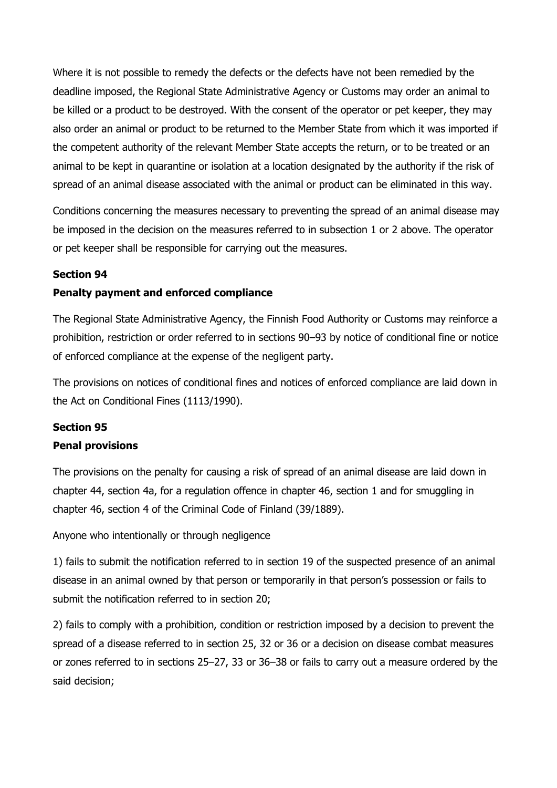Where it is not possible to remedy the defects or the defects have not been remedied by the deadline imposed, the Regional State Administrative Agency or Customs may order an animal to be killed or a product to be destroyed. With the consent of the operator or pet keeper, they may also order an animal or product to be returned to the Member State from which it was imported if the competent authority of the relevant Member State accepts the return, or to be treated or an animal to be kept in quarantine or isolation at a location designated by the authority if the risk of spread of an animal disease associated with the animal or product can be eliminated in this way.

Conditions concerning the measures necessary to preventing the spread of an animal disease may be imposed in the decision on the measures referred to in subsection 1 or 2 above. The operator or pet keeper shall be responsible for carrying out the measures.

# Section 94

# Penalty payment and enforced compliance

The Regional State Administrative Agency, the Finnish Food Authority or Customs may reinforce a prohibition, restriction or order referred to in sections 90–93 by notice of conditional fine or notice of enforced compliance at the expense of the negligent party.

The provisions on notices of conditional fines and notices of enforced compliance are laid down in the Act on Conditional Fines (1113/1990).

# Section 95

# Penal provisions

The provisions on the penalty for causing a risk of spread of an animal disease are laid down in chapter 44, section 4a, for a regulation offence in chapter 46, section 1 and for smuggling in chapter 46, section 4 of the Criminal Code of Finland (39/1889).

Anyone who intentionally or through negligence

1) fails to submit the notification referred to in section 19 of the suspected presence of an animal disease in an animal owned by that person or temporarily in that person's possession or fails to submit the notification referred to in section 20;

2) fails to comply with a prohibition, condition or restriction imposed by a decision to prevent the spread of a disease referred to in section 25, 32 or 36 or a decision on disease combat measures or zones referred to in sections 25–27, 33 or 36–38 or fails to carry out a measure ordered by the said decision;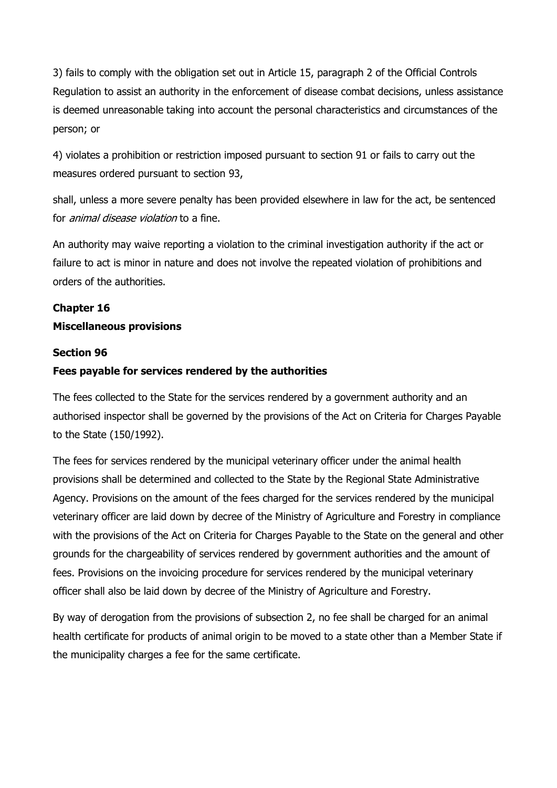3) fails to comply with the obligation set out in Article 15, paragraph 2 of the Official Controls Regulation to assist an authority in the enforcement of disease combat decisions, unless assistance is deemed unreasonable taking into account the personal characteristics and circumstances of the person; or

4) violates a prohibition or restriction imposed pursuant to section 91 or fails to carry out the measures ordered pursuant to section 93,

shall, unless a more severe penalty has been provided elsewhere in law for the act, be sentenced for *animal disease violation* to a fine.

An authority may waive reporting a violation to the criminal investigation authority if the act or failure to act is minor in nature and does not involve the repeated violation of prohibitions and orders of the authorities.

# Chapter 16

## Miscellaneous provisions

### Section 96

# Fees payable for services rendered by the authorities

The fees collected to the State for the services rendered by a government authority and an authorised inspector shall be governed by the provisions of the Act on Criteria for Charges Payable to the State (150/1992).

The fees for services rendered by the municipal veterinary officer under the animal health provisions shall be determined and collected to the State by the Regional State Administrative Agency. Provisions on the amount of the fees charged for the services rendered by the municipal veterinary officer are laid down by decree of the Ministry of Agriculture and Forestry in compliance with the provisions of the Act on Criteria for Charges Payable to the State on the general and other grounds for the chargeability of services rendered by government authorities and the amount of fees. Provisions on the invoicing procedure for services rendered by the municipal veterinary officer shall also be laid down by decree of the Ministry of Agriculture and Forestry.

By way of derogation from the provisions of subsection 2, no fee shall be charged for an animal health certificate for products of animal origin to be moved to a state other than a Member State if the municipality charges a fee for the same certificate.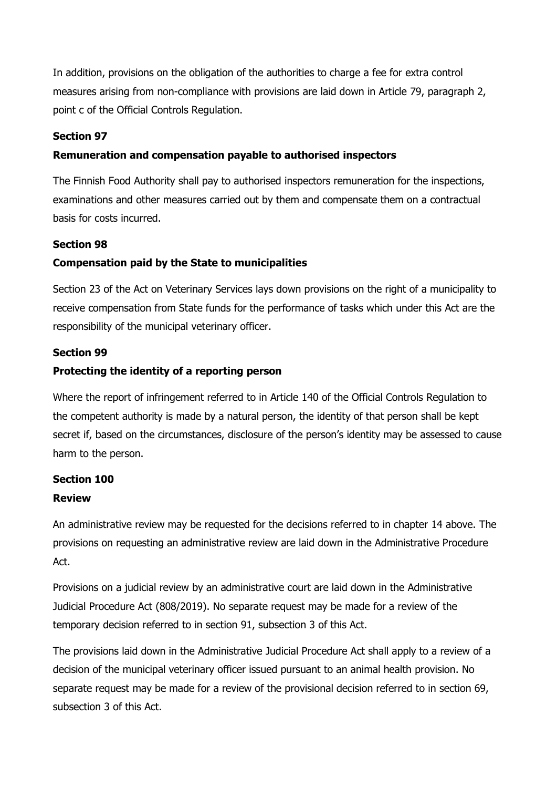In addition, provisions on the obligation of the authorities to charge a fee for extra control measures arising from non-compliance with provisions are laid down in Article 79, paragraph 2, point c of the Official Controls Regulation.

# Section 97

# Remuneration and compensation payable to authorised inspectors

The Finnish Food Authority shall pay to authorised inspectors remuneration for the inspections, examinations and other measures carried out by them and compensate them on a contractual basis for costs incurred.

# Section 98

# Compensation paid by the State to municipalities

Section 23 of the Act on Veterinary Services lays down provisions on the right of a municipality to receive compensation from State funds for the performance of tasks which under this Act are the responsibility of the municipal veterinary officer.

## Section 99

# Protecting the identity of a reporting person

Where the report of infringement referred to in Article 140 of the Official Controls Regulation to the competent authority is made by a natural person, the identity of that person shall be kept secret if, based on the circumstances, disclosure of the person's identity may be assessed to cause harm to the person.

# Section 100

### Review

An administrative review may be requested for the decisions referred to in chapter 14 above. The provisions on requesting an administrative review are laid down in the Administrative Procedure Act.

Provisions on a judicial review by an administrative court are laid down in the Administrative Judicial Procedure Act (808/2019). No separate request may be made for a review of the temporary decision referred to in section 91, subsection 3 of this Act.

The provisions laid down in the Administrative Judicial Procedure Act shall apply to a review of a decision of the municipal veterinary officer issued pursuant to an animal health provision. No separate request may be made for a review of the provisional decision referred to in section 69, subsection 3 of this Act.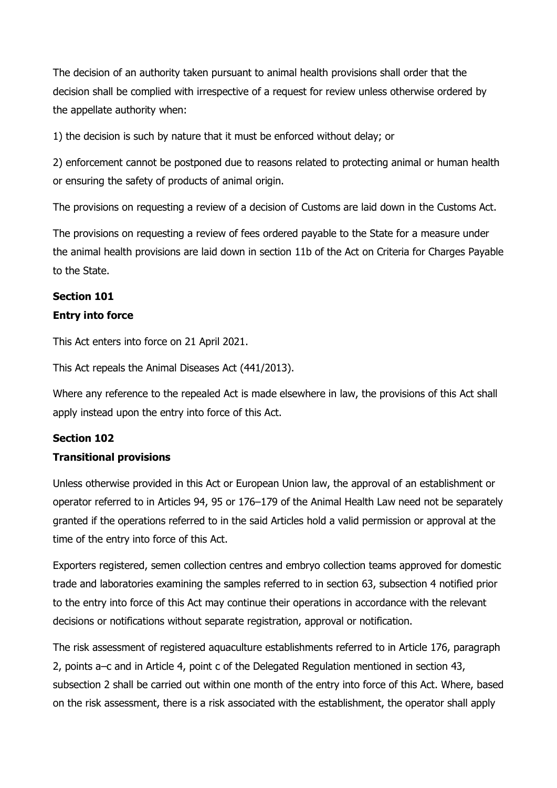The decision of an authority taken pursuant to animal health provisions shall order that the decision shall be complied with irrespective of a request for review unless otherwise ordered by the appellate authority when:

1) the decision is such by nature that it must be enforced without delay; or

2) enforcement cannot be postponed due to reasons related to protecting animal or human health or ensuring the safety of products of animal origin.

The provisions on requesting a review of a decision of Customs are laid down in the Customs Act.

The provisions on requesting a review of fees ordered payable to the State for a measure under the animal health provisions are laid down in section 11b of the Act on Criteria for Charges Payable to the State.

# Section 101 Entry into force

This Act enters into force on 21 April 2021.

This Act repeals the Animal Diseases Act (441/2013).

Where any reference to the repealed Act is made elsewhere in law, the provisions of this Act shall apply instead upon the entry into force of this Act.

# Section 102

# Transitional provisions

Unless otherwise provided in this Act or European Union law, the approval of an establishment or operator referred to in Articles 94, 95 or 176–179 of the Animal Health Law need not be separately granted if the operations referred to in the said Articles hold a valid permission or approval at the time of the entry into force of this Act.

Exporters registered, semen collection centres and embryo collection teams approved for domestic trade and laboratories examining the samples referred to in section 63, subsection 4 notified prior to the entry into force of this Act may continue their operations in accordance with the relevant decisions or notifications without separate registration, approval or notification.

The risk assessment of registered aquaculture establishments referred to in Article 176, paragraph 2, points a–c and in Article 4, point c of the Delegated Regulation mentioned in section 43, subsection 2 shall be carried out within one month of the entry into force of this Act. Where, based on the risk assessment, there is a risk associated with the establishment, the operator shall apply